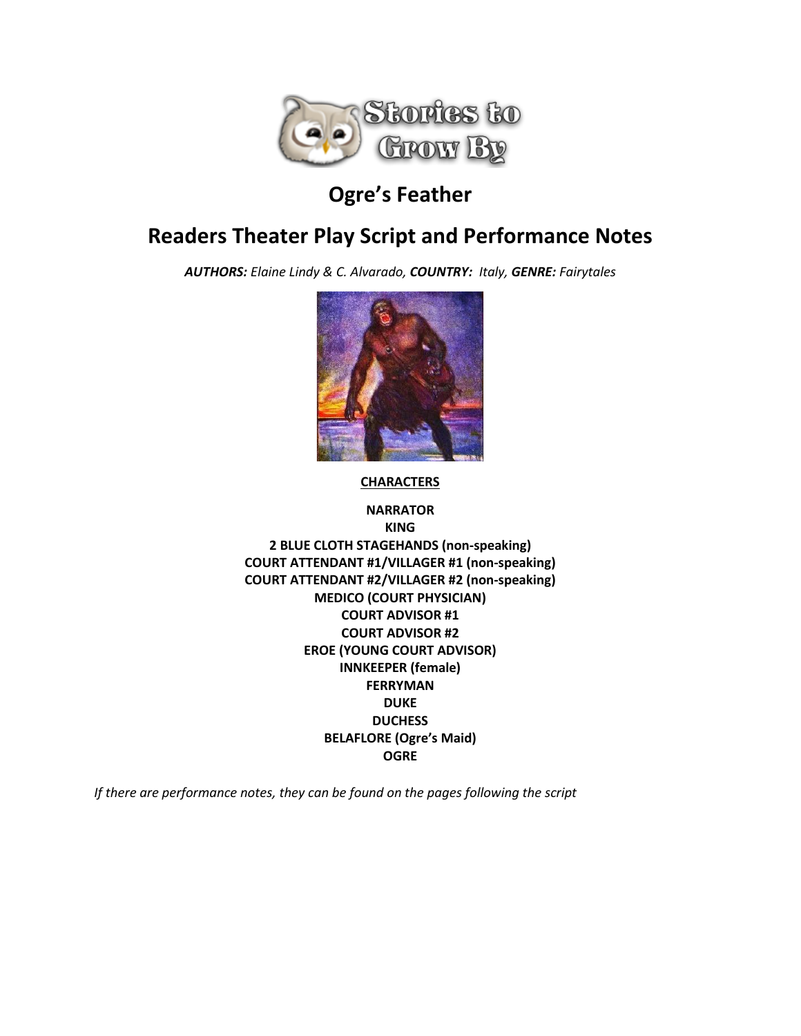

# **Ogre's Feather**

# **Readers Theater Play Script and Performance Notes**

*AUTHORS: Elaine Lindy & C. Alvarado, COUNTRY: Italy, GENRE: Fairytales*



**CHARACTERS**

**NARRATOR KING 2 BLUE CLOTH STAGEHANDS (non-speaking) COURT ATTENDANT #1/VILLAGER #1 (non-speaking) COURT ATTENDANT #2/VILLAGER #2 (non-speaking) MEDICO (COURT PHYSICIAN) COURT ADVISOR #1 COURT ADVISOR #2 EROE (YOUNG COURT ADVISOR) INNKEEPER (female) FERRYMAN DUKE DUCHESS BELAFLORE (Ogre's Maid) OGRE**

*If there are performance notes, they can be found on the pages following the script*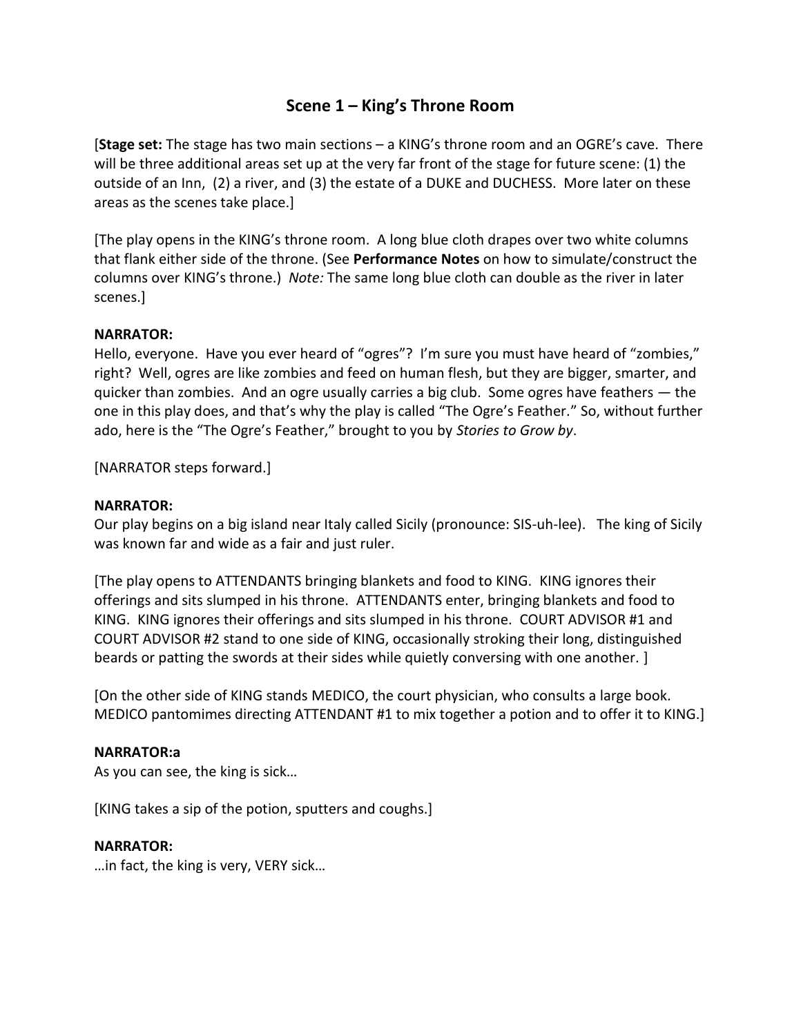# **Scene 1 – King's Throne Room**

[**Stage set:** The stage has two main sections – a KING's throne room and an OGRE's cave. There will be three additional areas set up at the very far front of the stage for future scene: (1) the outside of an Inn, (2) a river, and (3) the estate of a DUKE and DUCHESS. More later on these areas as the scenes take place.]

[The play opens in the KING's throne room. A long blue cloth drapes over two white columns that flank either side of the throne. (See **Performance Notes** on how to simulate/construct the columns over KING's throne.) *Note:* The same long blue cloth can double as the river in later scenes.]

## **NARRATOR:**

Hello, everyone. Have you ever heard of "ogres"? I'm sure you must have heard of "zombies," right? Well, ogres are like zombies and feed on human flesh, but they are bigger, smarter, and quicker than zombies. And an ogre usually carries a big club. Some ogres have feathers — the one in this play does, and that's why the play is called "The Ogre's Feather." So, without further ado, here is the "The Ogre's Feather," brought to you by *Stories to Grow by*.

[NARRATOR steps forward.]

## **NARRATOR:**

Our play begins on a big island near Italy called Sicily (pronounce: SIS-uh-lee). The king of Sicily was known far and wide as a fair and just ruler.

[The play opens to ATTENDANTS bringing blankets and food to KING. KING ignores their offerings and sits slumped in his throne. ATTENDANTS enter, bringing blankets and food to KING. KING ignores their offerings and sits slumped in his throne. COURT ADVISOR #1 and COURT ADVISOR #2 stand to one side of KING, occasionally stroking their long, distinguished beards or patting the swords at their sides while quietly conversing with one another. ]

[On the other side of KING stands MEDICO, the court physician, who consults a large book. MEDICO pantomimes directing ATTENDANT #1 to mix together a potion and to offer it to KING.]

## **NARRATOR:a**

As you can see, the king is sick…

[KING takes a sip of the potion, sputters and coughs.]

## **NARRATOR:**

…in fact, the king is very, VERY sick…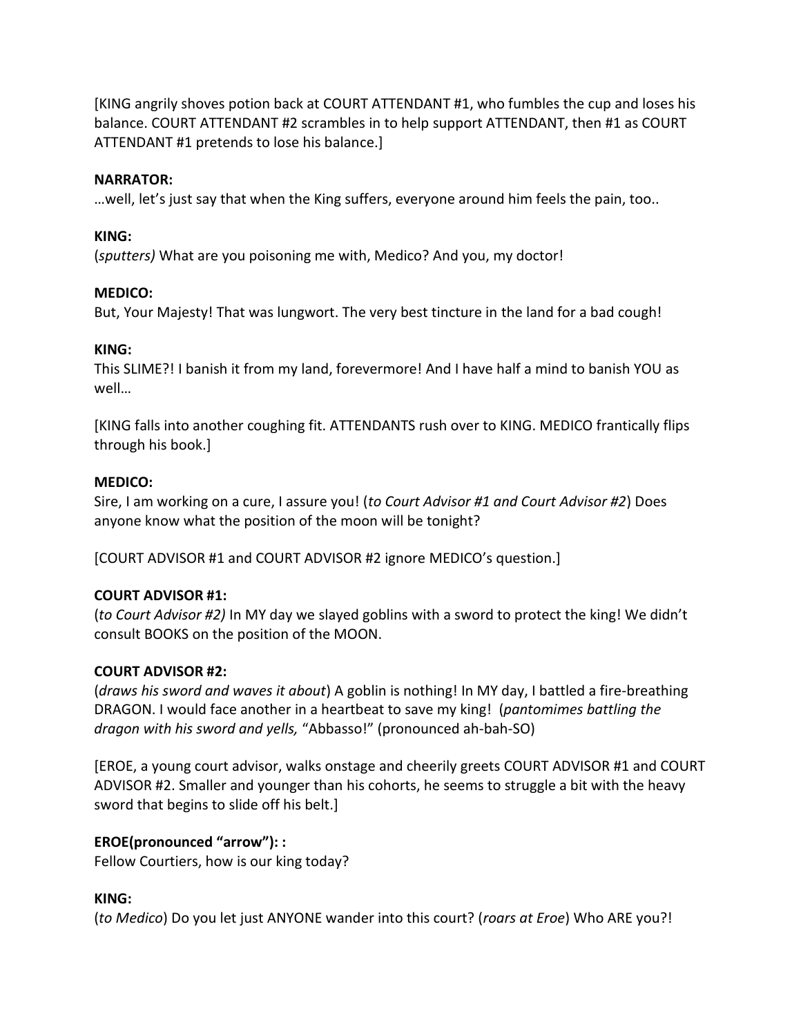[KING angrily shoves potion back at COURT ATTENDANT #1, who fumbles the cup and loses his balance. COURT ATTENDANT #2 scrambles in to help support ATTENDANT, then #1 as COURT ATTENDANT #1 pretends to lose his balance.]

## **NARRATOR:**

…well, let's just say that when the King suffers, everyone around him feels the pain, too..

## **KING:**

(*sputters)* What are you poisoning me with, Medico? And you, my doctor!

## **MEDICO:**

But, Your Majesty! That was lungwort. The very best tincture in the land for a bad cough!

## **KING:**

This SLIME?! I banish it from my land, forevermore! And I have half a mind to banish YOU as well…

[KING falls into another coughing fit. ATTENDANTS rush over to KING. MEDICO frantically flips through his book.]

## **MEDICO:**

Sire, I am working on a cure, I assure you! (*to Court Advisor #1 and Court Advisor #2*) Does anyone know what the position of the moon will be tonight?

[COURT ADVISOR #1 and COURT ADVISOR #2 ignore MEDICO's question.]

## **COURT ADVISOR #1:**

(*to Court Advisor #2)* In MY day we slayed goblins with a sword to protect the king! We didn't consult BOOKS on the position of the MOON.

## **COURT ADVISOR #2:**

(*draws his sword and waves it about*) A goblin is nothing! In MY day, I battled a fire-breathing DRAGON. I would face another in a heartbeat to save my king! (*pantomimes battling the dragon with his sword and yells,* "Abbasso!" (pronounced ah-bah-SO)

[EROE, a young court advisor, walks onstage and cheerily greets COURT ADVISOR #1 and COURT ADVISOR #2. Smaller and younger than his cohorts, he seems to struggle a bit with the heavy sword that begins to slide off his belt.]

## **EROE(pronounced "arrow"): :**

Fellow Courtiers, how is our king today?

## **KING:**

(*to Medico*) Do you let just ANYONE wander into this court? (*roars at Eroe*) Who ARE you?!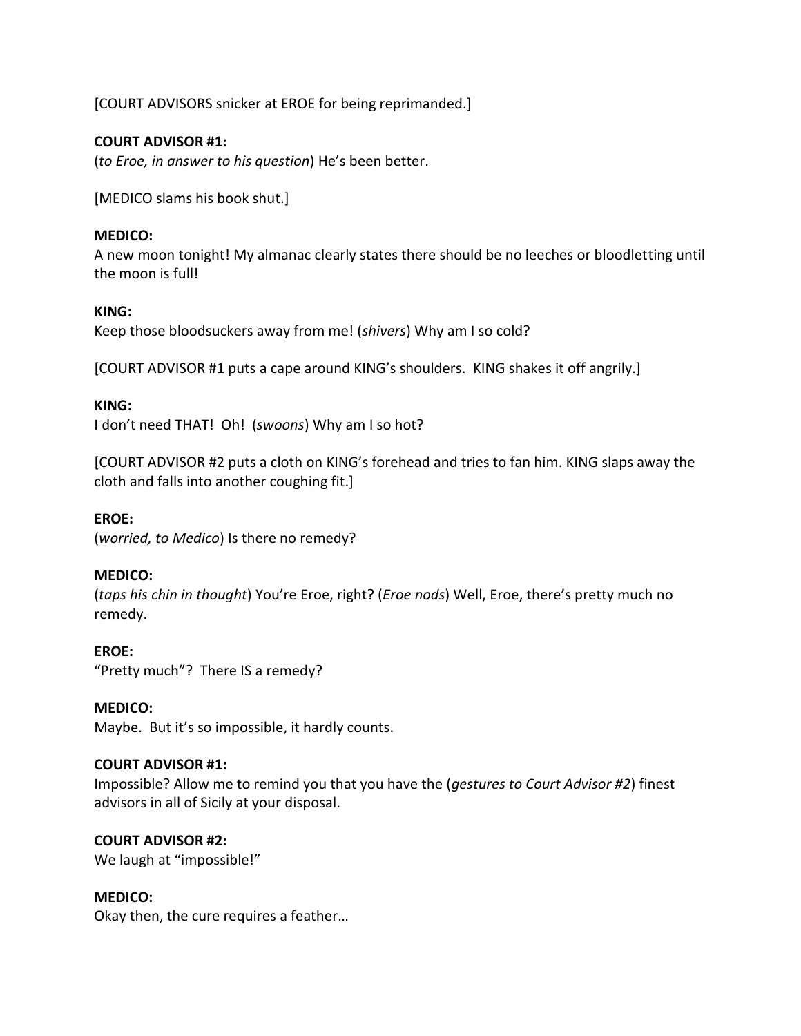[COURT ADVISORS snicker at EROE for being reprimanded.]

## **COURT ADVISOR #1:**

(*to Eroe, in answer to his question*) He's been better.

[MEDICO slams his book shut.]

## **MEDICO:**

A new moon tonight! My almanac clearly states there should be no leeches or bloodletting until the moon is full!

## **KING:**

Keep those bloodsuckers away from me! (*shivers*) Why am I so cold?

[COURT ADVISOR #1 puts a cape around KING's shoulders. KING shakes it off angrily.]

## **KING:**

I don't need THAT! Oh! (*swoons*) Why am I so hot?

[COURT ADVISOR #2 puts a cloth on KING's forehead and tries to fan him. KING slaps away the cloth and falls into another coughing fit.]

## **EROE:**

(*worried, to Medico*) Is there no remedy?

## **MEDICO:**

(*taps his chin in thought*) You're Eroe, right? (*Eroe nods*) Well, Eroe, there's pretty much no remedy.

## **EROE:**

"Pretty much"? There IS a remedy?

#### **MEDICO:**

Maybe. But it's so impossible, it hardly counts.

#### **COURT ADVISOR #1:**

Impossible? Allow me to remind you that you have the (*gestures to Court Advisor #2*) finest advisors in all of Sicily at your disposal.

## **COURT ADVISOR #2:**

We laugh at "impossible!"

## **MEDICO:**

Okay then, the cure requires a feather…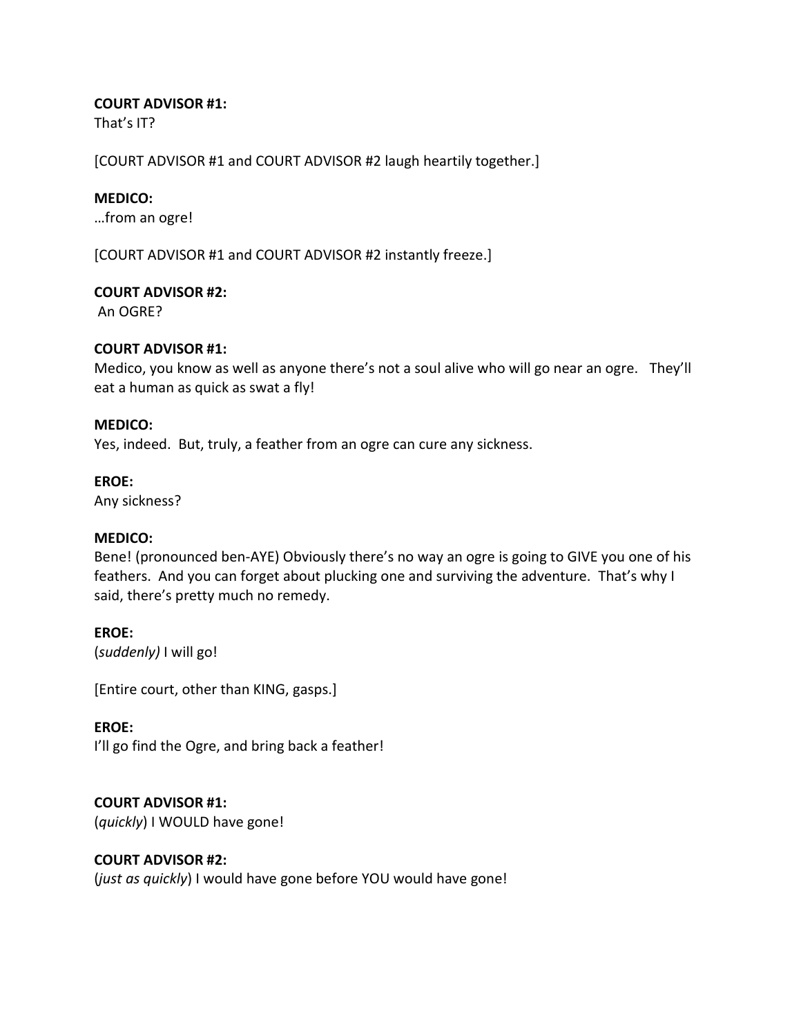## **COURT ADVISOR #1:**

That's IT?

[COURT ADVISOR #1 and COURT ADVISOR #2 laugh heartily together.]

## **MEDICO:**

…from an ogre!

[COURT ADVISOR #1 and COURT ADVISOR #2 instantly freeze.]

#### **COURT ADVISOR #2:**

An OGRE?

## **COURT ADVISOR #1:**

Medico, you know as well as anyone there's not a soul alive who will go near an ogre. They'll eat a human as quick as swat a fly!

#### **MEDICO:**

Yes, indeed. But, truly, a feather from an ogre can cure any sickness.

#### **EROE:**

Any sickness?

## **MEDICO:**

Bene! (pronounced ben-AYE) Obviously there's no way an ogre is going to GIVE you one of his feathers. And you can forget about plucking one and surviving the adventure. That's why I said, there's pretty much no remedy.

## **EROE:**

(*suddenly)* I will go!

[Entire court, other than KING, gasps.]

#### **EROE:**

I'll go find the Ogre, and bring back a feather!

## **COURT ADVISOR #1:**

(*quickly*) I WOULD have gone!

## **COURT ADVISOR #2:**

(*just as quickly*) I would have gone before YOU would have gone!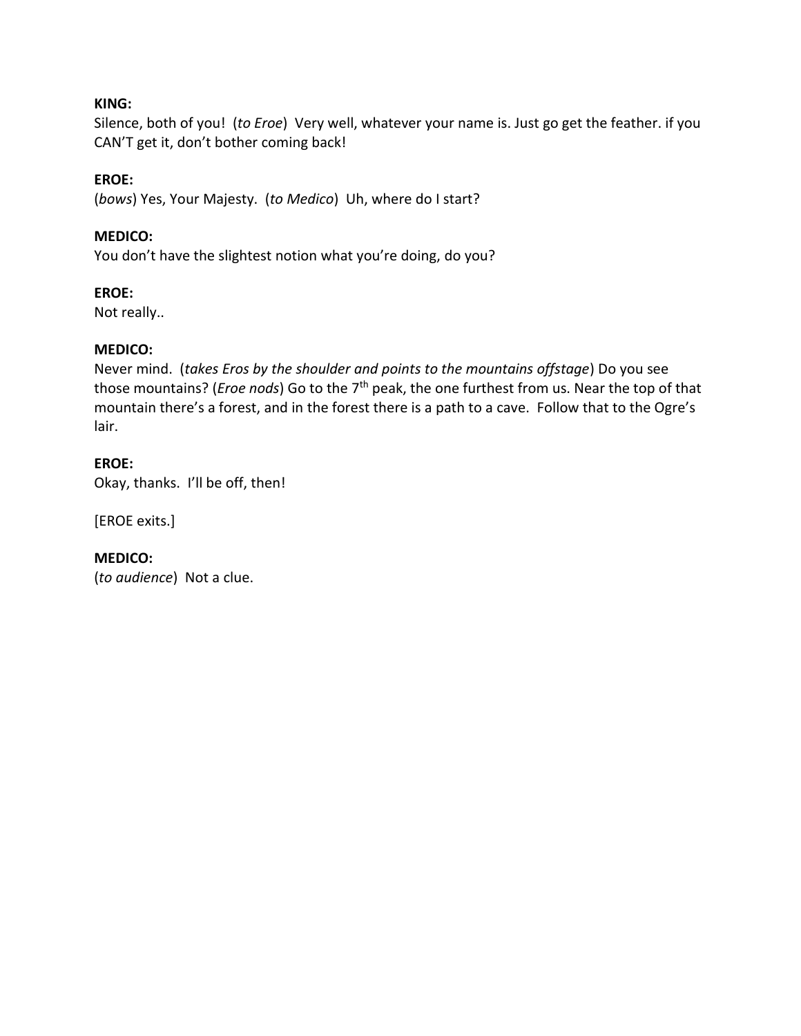## **KING:**

Silence, both of you! (*to Eroe*) Very well, whatever your name is. Just go get the feather. if you CAN'T get it, don't bother coming back!

## **EROE:**

(*bows*) Yes, Your Majesty. (*to Medico*) Uh, where do I start?

## **MEDICO:**

You don't have the slightest notion what you're doing, do you?

## **EROE:**

Not really..

## **MEDICO:**

Never mind. (*takes Eros by the shoulder and points to the mountains offstage*) Do you see those mountains? (*Eroe nods*) Go to the 7th peak, the one furthest from us. Near the top of that mountain there's a forest, and in the forest there is a path to a cave. Follow that to the Ogre's lair.

## **EROE:**

Okay, thanks. I'll be off, then!

[EROE exits.]

**MEDICO:** (*to audience*) Not a clue.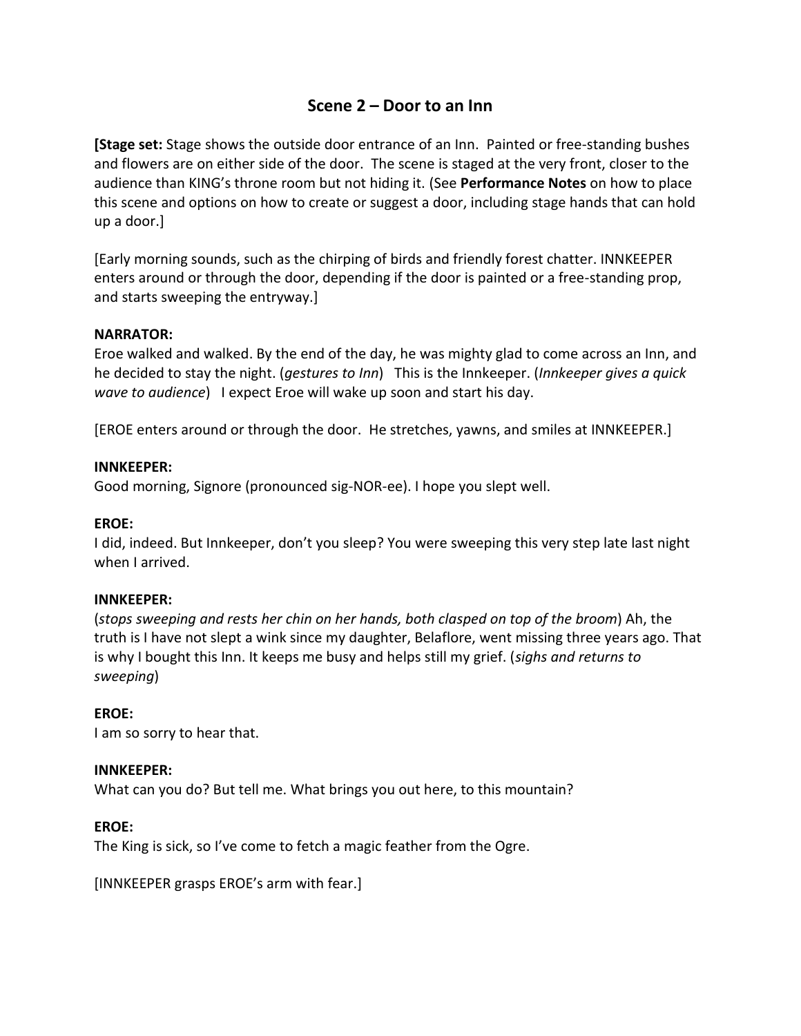# **Scene 2 – Door to an Inn**

**[Stage set:** Stage shows the outside door entrance of an Inn. Painted or free-standing bushes and flowers are on either side of the door. The scene is staged at the very front, closer to the audience than KING's throne room but not hiding it. (See **Performance Notes** on how to place this scene and options on how to create or suggest a door, including stage hands that can hold up a door.]

[Early morning sounds, such as the chirping of birds and friendly forest chatter. INNKEEPER enters around or through the door, depending if the door is painted or a free-standing prop, and starts sweeping the entryway.]

## **NARRATOR:**

Eroe walked and walked. By the end of the day, he was mighty glad to come across an Inn, and he decided to stay the night. (*gestures to Inn*) This is the Innkeeper. (*Innkeeper gives a quick wave to audience*) I expect Eroe will wake up soon and start his day.

[EROE enters around or through the door. He stretches, yawns, and smiles at INNKEEPER.]

## **INNKEEPER:**

Good morning, Signore (pronounced sig-NOR-ee). I hope you slept well.

## **EROE:**

I did, indeed. But Innkeeper, don't you sleep? You were sweeping this very step late last night when I arrived.

## **INNKEEPER:**

(*stops sweeping and rests her chin on her hands, both clasped on top of the broom*) Ah, the truth is I have not slept a wink since my daughter, Belaflore, went missing three years ago. That is why I bought this Inn. It keeps me busy and helps still my grief. (*sighs and returns to sweeping*)

## **EROE:**

I am so sorry to hear that.

## **INNKEEPER:**

What can you do? But tell me. What brings you out here, to this mountain?

## **EROE:**

The King is sick, so I've come to fetch a magic feather from the Ogre.

[INNKEEPER grasps EROE's arm with fear.]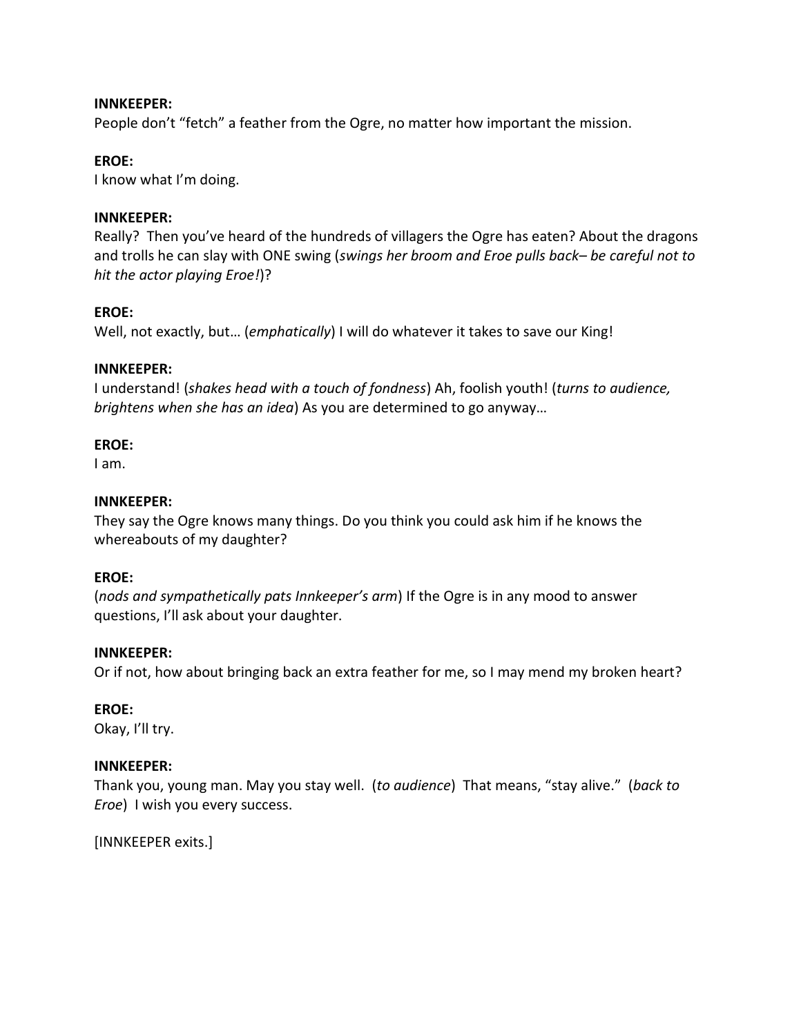#### **INNKEEPER:**

People don't "fetch" a feather from the Ogre, no matter how important the mission.

#### **EROE:**

I know what I'm doing.

#### **INNKEEPER:**

Really? Then you've heard of the hundreds of villagers the Ogre has eaten? About the dragons and trolls he can slay with ONE swing (*swings her broom and Eroe pulls back– be careful not to hit the actor playing Eroe!*)?

#### **EROE:**

Well, not exactly, but… (*emphatically*) I will do whatever it takes to save our King!

#### **INNKEEPER:**

I understand! (*shakes head with a touch of fondness*) Ah, foolish youth! (*turns to audience, brightens when she has an idea*) As you are determined to go anyway…

#### **EROE:**

I am.

#### **INNKEEPER:**

They say the Ogre knows many things. Do you think you could ask him if he knows the whereabouts of my daughter?

#### **EROE:**

(*nods and sympathetically pats Innkeeper's arm*) If the Ogre is in any mood to answer questions, I'll ask about your daughter.

#### **INNKEEPER:**

Or if not, how about bringing back an extra feather for me, so I may mend my broken heart?

#### **EROE:**

Okay, I'll try.

#### **INNKEEPER:**

Thank you, young man. May you stay well. (*to audience*) That means, "stay alive." (*back to Eroe*) I wish you every success.

[INNKEEPER exits.]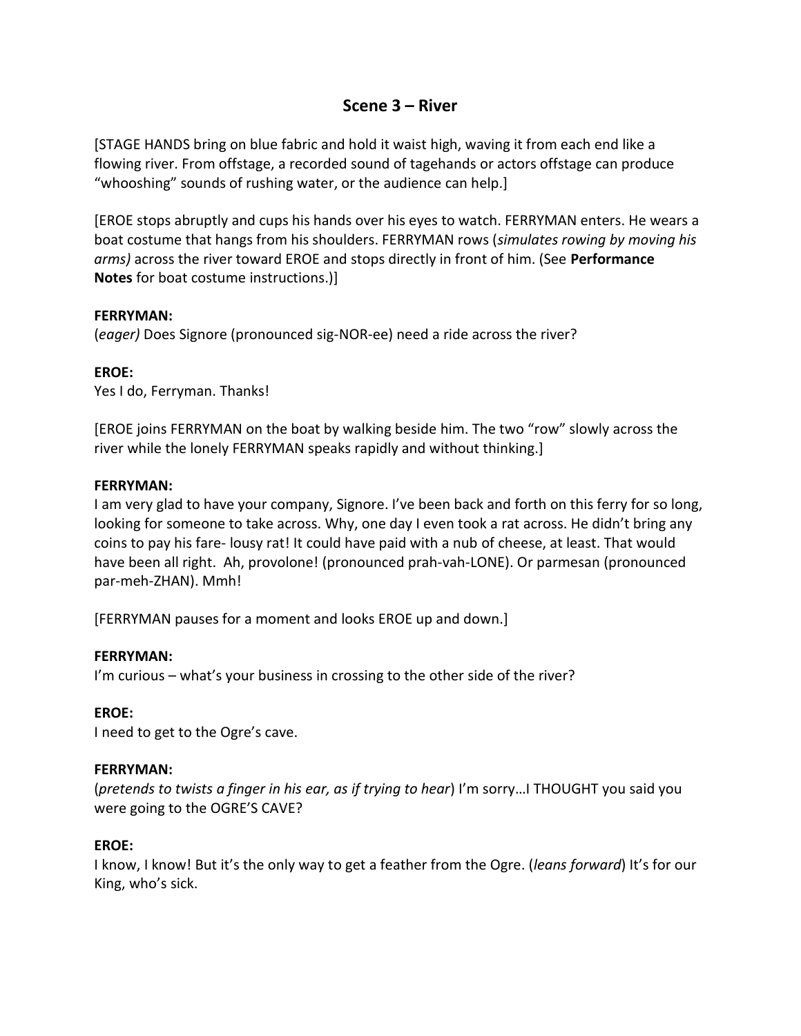## **Scene 3 – River**

[STAGE HANDS bring on blue fabric and hold it waist high, waving it from each end like a flowing river. From offstage, a recorded sound of tagehands or actors offstage can produce "whooshing" sounds of rushing water, or the audience can help.]

[EROE stops abruptly and cups his hands over his eyes to watch. FERRYMAN enters. He wears a boat costume that hangs from his shoulders. FERRYMAN rows (*simulates rowing by moving his arms)* across the river toward EROE and stops directly in front of him. (See **Performance Notes** for boat costume instructions.)]

#### **FERRYMAN:**

(*eager)* Does Signore (pronounced sig-NOR-ee) need a ride across the river?

## **EROE:**

Yes I do, Ferryman. Thanks!

[EROE joins FERRYMAN on the boat by walking beside him. The two "row" slowly across the river while the lonely FERRYMAN speaks rapidly and without thinking.]

## **FERRYMAN:**

I am very glad to have your company, Signore. I've been back and forth on this ferry for so long, looking for someone to take across. Why, one day I even took a rat across. He didn't bring any coins to pay his fare- lousy rat! It could have paid with a nub of cheese, at least. That would have been all right. Ah, provolone! (pronounced prah-vah-LONE). Or parmesan (pronounced par-meh-ZHAN). Mmh!

[FERRYMAN pauses for a moment and looks EROE up and down.]

## **FERRYMAN:**

I'm curious – what's your business in crossing to the other side of the river?

## **EROE:**

I need to get to the Ogre's cave.

## **FERRYMAN:**

(*pretends to twists a finger in his ear, as if trying to hear*) I'm sorry…I THOUGHT you said you were going to the OGRE'S CAVE?

## **EROE:**

I know, I know! But it's the only way to get a feather from the Ogre. (*leans forward*) It's for our King, who's sick.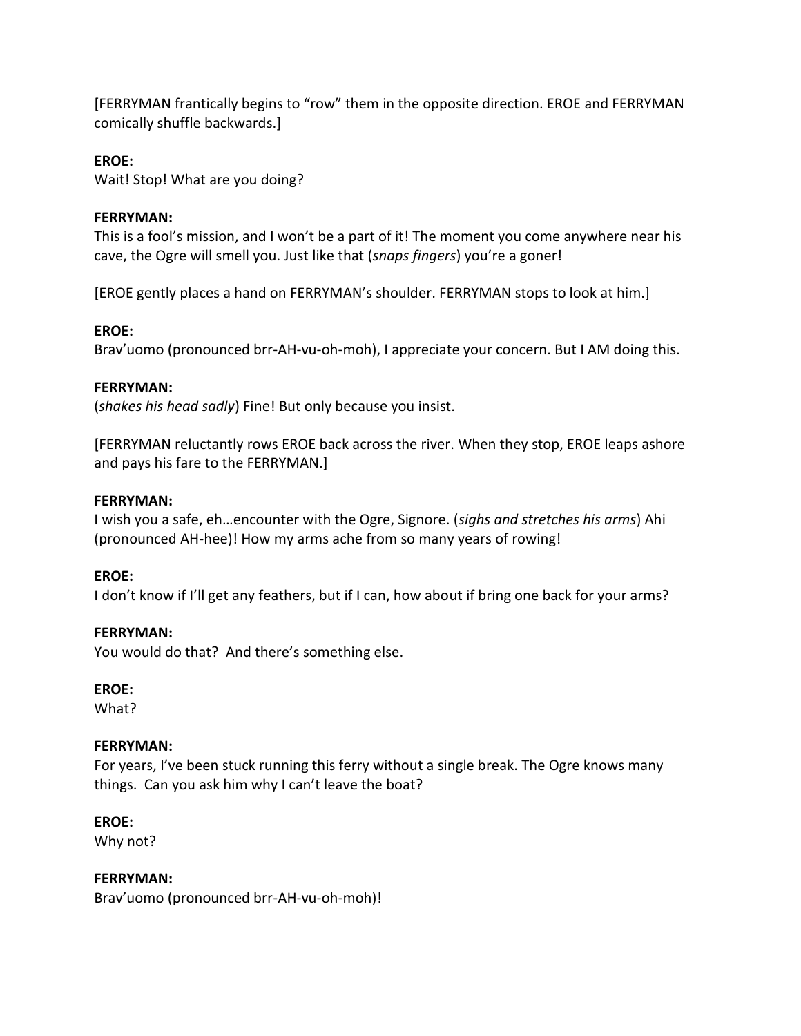[FERRYMAN frantically begins to "row" them in the opposite direction. EROE and FERRYMAN comically shuffle backwards.]

## **EROE:**

Wait! Stop! What are you doing?

## **FERRYMAN:**

This is a fool's mission, and I won't be a part of it! The moment you come anywhere near his cave, the Ogre will smell you. Just like that (*snaps fingers*) you're a goner!

[EROE gently places a hand on FERRYMAN's shoulder. FERRYMAN stops to look at him.]

## **EROE:**

Brav'uomo (pronounced brr-AH-vu-oh-moh), I appreciate your concern. But I AM doing this.

## **FERRYMAN:**

(*shakes his head sadly*) Fine! But only because you insist.

[FERRYMAN reluctantly rows EROE back across the river. When they stop, EROE leaps ashore and pays his fare to the FERRYMAN.]

## **FERRYMAN:**

I wish you a safe, eh…encounter with the Ogre, Signore. (*sighs and stretches his arms*) Ahi (pronounced AH-hee)! How my arms ache from so many years of rowing!

## **EROE:**

I don't know if I'll get any feathers, but if I can, how about if bring one back for your arms?

## **FERRYMAN:**

You would do that? And there's something else.

## **EROE:**

What?

## **FERRYMAN:**

For years, I've been stuck running this ferry without a single break. The Ogre knows many things. Can you ask him why I can't leave the boat?

## **EROE:**

Why not?

## **FERRYMAN:**

Brav'uomo (pronounced brr-AH-vu-oh-moh)!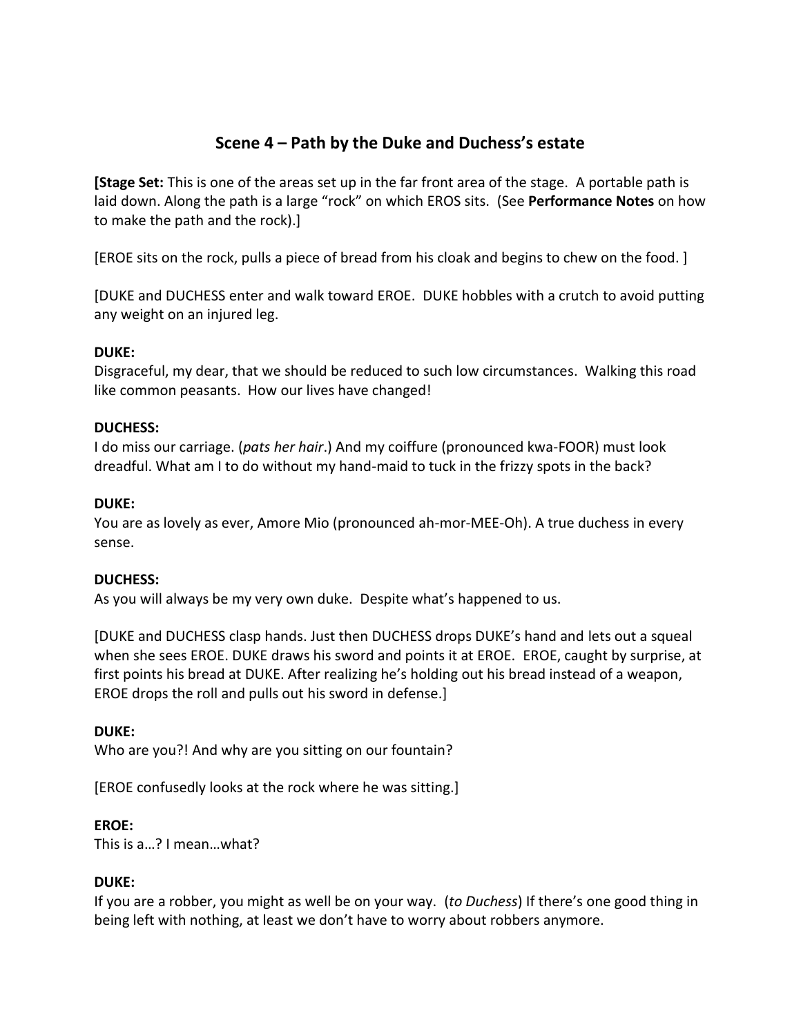# **Scene 4 – Path by the Duke and Duchess's estate**

**[Stage Set:** This is one of the areas set up in the far front area of the stage. A portable path is laid down. Along the path is a large "rock" on which EROS sits. (See **Performance Notes** on how to make the path and the rock).]

[EROE sits on the rock, pulls a piece of bread from his cloak and begins to chew on the food. ]

[DUKE and DUCHESS enter and walk toward EROE. DUKE hobbles with a crutch to avoid putting any weight on an injured leg.

## **DUKE:**

Disgraceful, my dear, that we should be reduced to such low circumstances. Walking this road like common peasants. How our lives have changed!

## **DUCHESS:**

I do miss our carriage. (*pats her hair*.) And my coiffure (pronounced kwa-FOOR) must look dreadful. What am I to do without my hand-maid to tuck in the frizzy spots in the back?

## **DUKE:**

You are as lovely as ever, Amore Mio (pronounced ah-mor-MEE-Oh). A true duchess in every sense.

## **DUCHESS:**

As you will always be my very own duke. Despite what's happened to us.

[DUKE and DUCHESS clasp hands. Just then DUCHESS drops DUKE's hand and lets out a squeal when she sees EROE. DUKE draws his sword and points it at EROE. EROE, caught by surprise, at first points his bread at DUKE. After realizing he's holding out his bread instead of a weapon, EROE drops the roll and pulls out his sword in defense.]

## **DUKE:**

Who are you?! And why are you sitting on our fountain?

[EROE confusedly looks at the rock where he was sitting.]

## **EROE:**

This is a…? I mean…what?

## **DUKE:**

If you are a robber, you might as well be on your way. (*to Duchess*) If there's one good thing in being left with nothing, at least we don't have to worry about robbers anymore.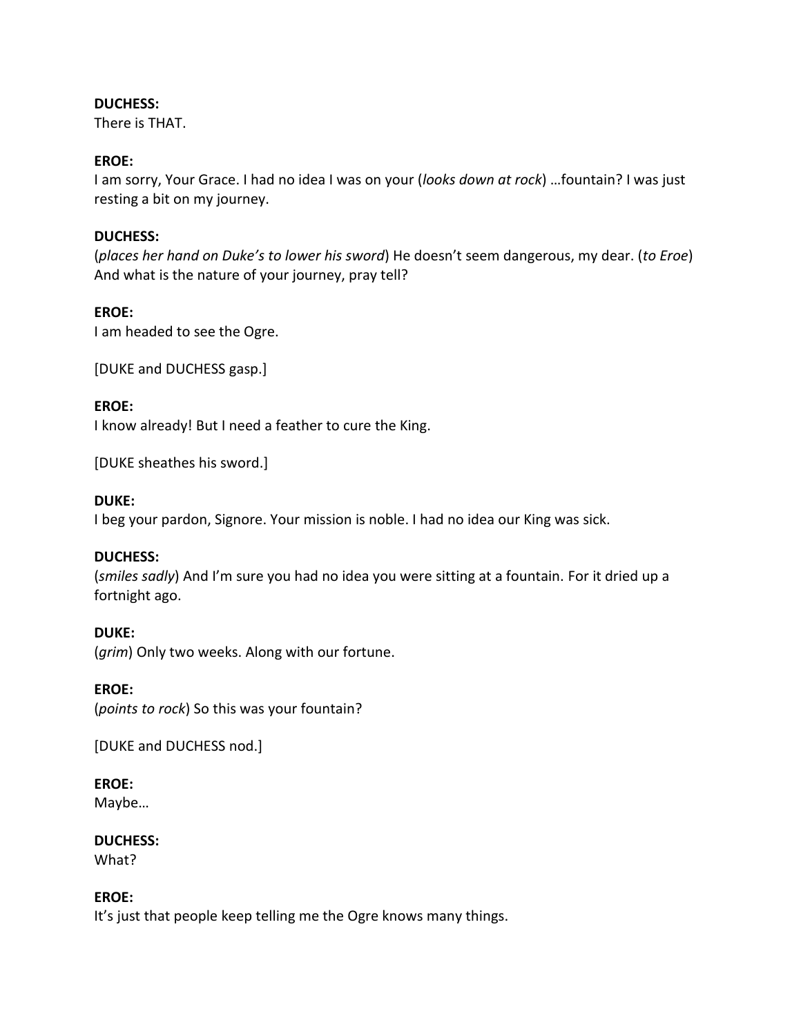## **DUCHESS:**

There is THAT.

## **EROE:**

I am sorry, Your Grace. I had no idea I was on your (*looks down at rock*) …fountain? I was just resting a bit on my journey.

## **DUCHESS:**

(*places her hand on Duke's to lower his sword*) He doesn't seem dangerous, my dear. (*to Eroe*) And what is the nature of your journey, pray tell?

## **EROE:**

I am headed to see the Ogre.

[DUKE and DUCHESS gasp.]

#### **EROE:**

I know already! But I need a feather to cure the King.

[DUKE sheathes his sword.]

## **DUKE:**

I beg your pardon, Signore. Your mission is noble. I had no idea our King was sick.

## **DUCHESS:**

(*smiles sadly*) And I'm sure you had no idea you were sitting at a fountain. For it dried up a fortnight ago.

## **DUKE:**

(*grim*) Only two weeks. Along with our fortune.

## **EROE:**

(*points to rock*) So this was your fountain?

[DUKE and DUCHESS nod.]

## **EROE:**

Maybe…

## **DUCHESS:**

What?

## **EROE:**

It's just that people keep telling me the Ogre knows many things.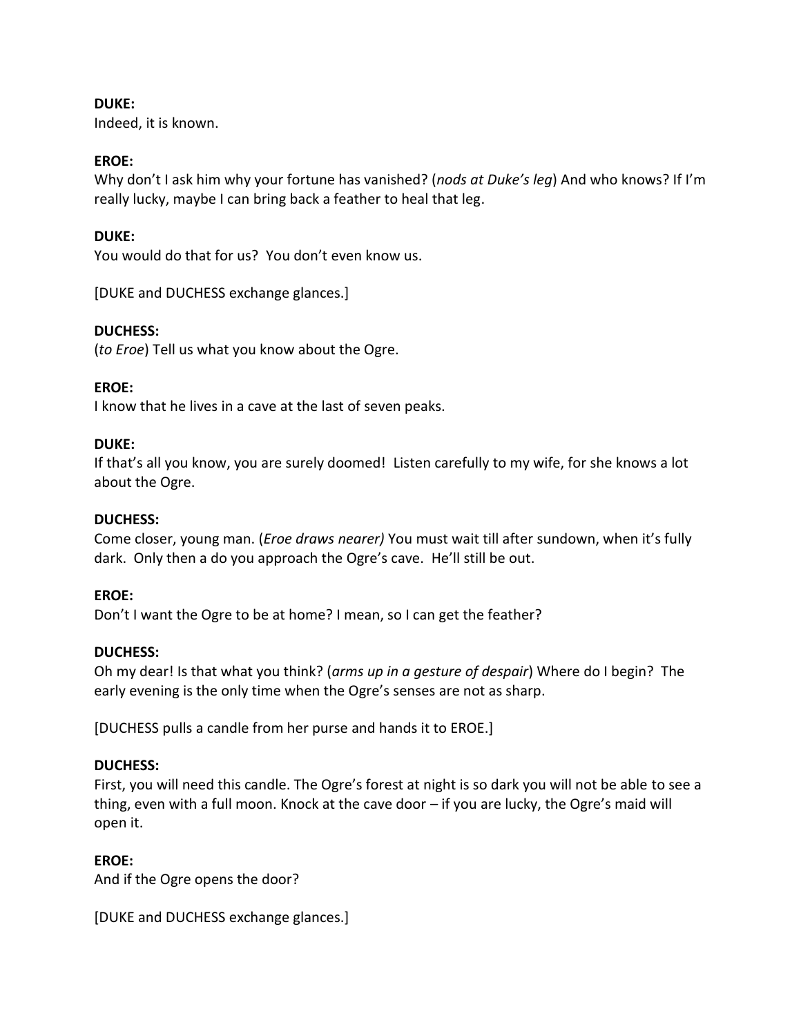## **DUKE:**

Indeed, it is known.

## **EROE:**

Why don't I ask him why your fortune has vanished? (*nods at Duke's leg*) And who knows? If I'm really lucky, maybe I can bring back a feather to heal that leg.

## **DUKE:**

You would do that for us? You don't even know us.

[DUKE and DUCHESS exchange glances.]

## **DUCHESS:**

(*to Eroe*) Tell us what you know about the Ogre.

## **EROE:**

I know that he lives in a cave at the last of seven peaks.

## **DUKE:**

If that's all you know, you are surely doomed! Listen carefully to my wife, for she knows a lot about the Ogre.

## **DUCHESS:**

Come closer, young man. (*Eroe draws nearer)* You must wait till after sundown, when it's fully dark. Only then a do you approach the Ogre's cave. He'll still be out.

## **EROE:**

Don't I want the Ogre to be at home? I mean, so I can get the feather?

## **DUCHESS:**

Oh my dear! Is that what you think? (*arms up in a gesture of despair*) Where do I begin? The early evening is the only time when the Ogre's senses are not as sharp.

[DUCHESS pulls a candle from her purse and hands it to EROE.]

## **DUCHESS:**

First, you will need this candle. The Ogre's forest at night is so dark you will not be able to see a thing, even with a full moon. Knock at the cave door – if you are lucky, the Ogre's maid will open it.

## **EROE:**

And if the Ogre opens the door?

[DUKE and DUCHESS exchange glances.]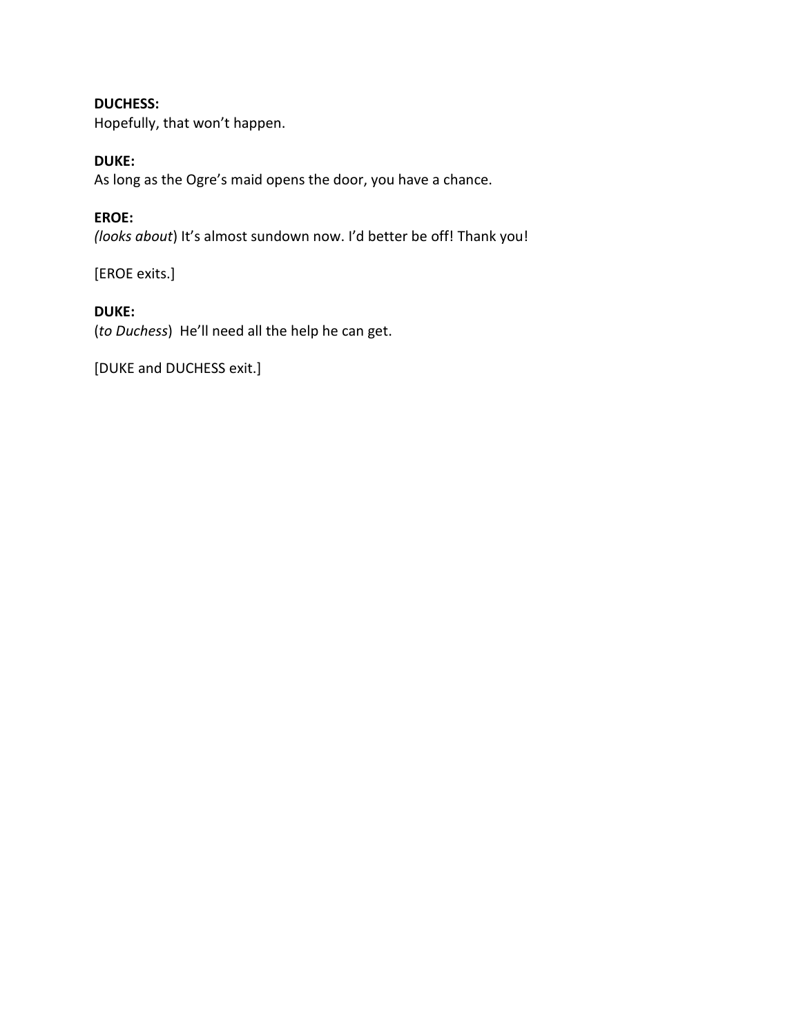## **DUCHESS:**

Hopefully, that won't happen.

## **DUKE:**

As long as the Ogre's maid opens the door, you have a chance.

## **EROE:**

*(looks about*) It's almost sundown now. I'd better be off! Thank you!

[EROE exits.]

## **DUKE:**

(*to Duchess*) He'll need all the help he can get.

[DUKE and DUCHESS exit.]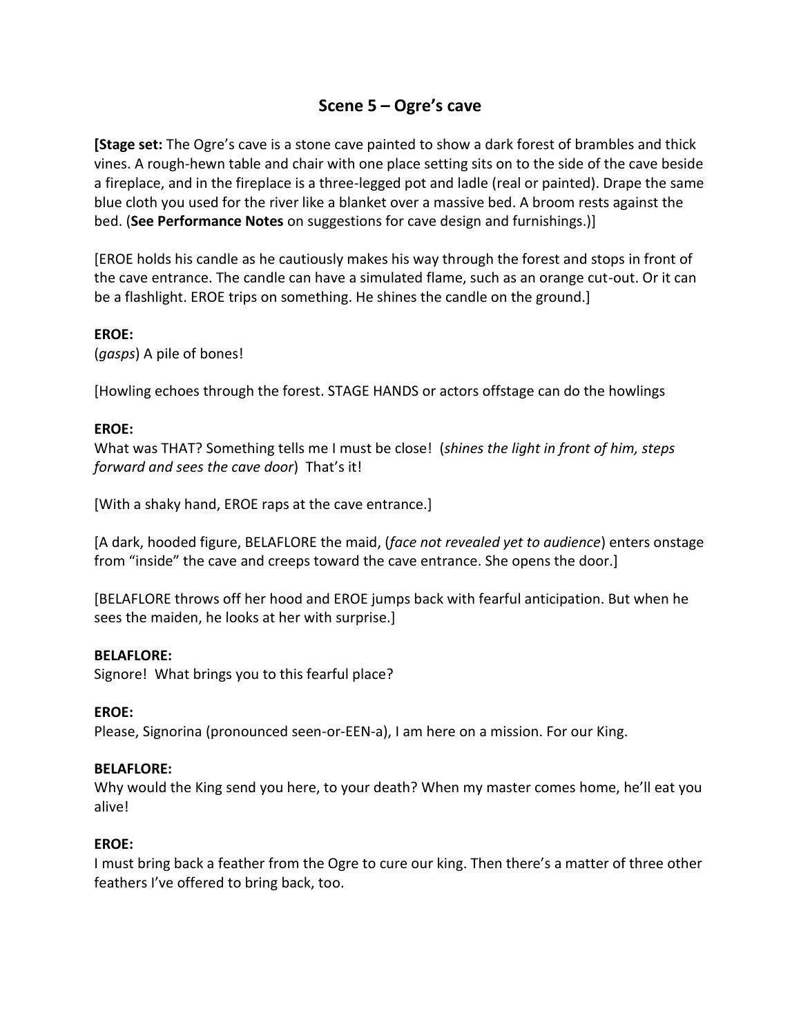# **Scene 5 – Ogre's cave**

**[Stage set:** The Ogre's cave is a stone cave painted to show a dark forest of brambles and thick vines. A rough-hewn table and chair with one place setting sits on to the side of the cave beside a fireplace, and in the fireplace is a three-legged pot and ladle (real or painted). Drape the same blue cloth you used for the river like a blanket over a massive bed. A broom rests against the bed. (**See Performance Notes** on suggestions for cave design and furnishings.)]

[EROE holds his candle as he cautiously makes his way through the forest and stops in front of the cave entrance. The candle can have a simulated flame, such as an orange cut-out. Or it can be a flashlight. EROE trips on something. He shines the candle on the ground.]

## **EROE:**

(*gasps*) A pile of bones!

[Howling echoes through the forest. STAGE HANDS or actors offstage can do the howlings

## **EROE:**

What was THAT? Something tells me I must be close! (*shines the light in front of him, steps forward and sees the cave door*) That's it!

[With a shaky hand, EROE raps at the cave entrance.]

[A dark, hooded figure, BELAFLORE the maid, (*face not revealed yet to audience*) enters onstage from "inside" the cave and creeps toward the cave entrance. She opens the door.]

[BELAFLORE throws off her hood and EROE jumps back with fearful anticipation. But when he sees the maiden, he looks at her with surprise.]

## **BELAFLORE:**

Signore! What brings you to this fearful place?

## **EROE:**

Please, Signorina (pronounced seen-or-EEN-a), I am here on a mission. For our King.

## **BELAFLORE:**

Why would the King send you here, to your death? When my master comes home, he'll eat you alive!

## **EROE:**

I must bring back a feather from the Ogre to cure our king. Then there's a matter of three other feathers I've offered to bring back, too.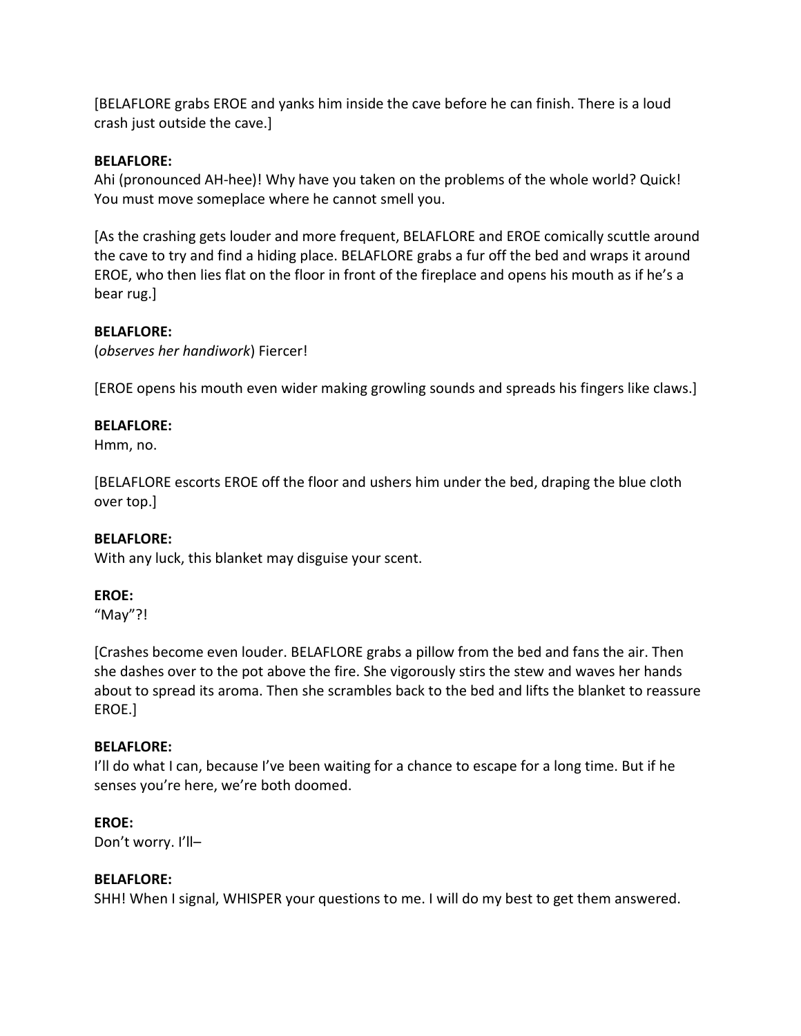[BELAFLORE grabs EROE and yanks him inside the cave before he can finish. There is a loud crash just outside the cave.]

## **BELAFLORE:**

Ahi (pronounced AH-hee)! Why have you taken on the problems of the whole world? Quick! You must move someplace where he cannot smell you.

[As the crashing gets louder and more frequent, BELAFLORE and EROE comically scuttle around the cave to try and find a hiding place. BELAFLORE grabs a fur off the bed and wraps it around EROE, who then lies flat on the floor in front of the fireplace and opens his mouth as if he's a bear rug.]

## **BELAFLORE:**

(*observes her handiwork*) Fiercer!

[EROE opens his mouth even wider making growling sounds and spreads his fingers like claws.]

## **BELAFLORE:**

Hmm, no.

[BELAFLORE escorts EROE off the floor and ushers him under the bed, draping the blue cloth over top.]

## **BELAFLORE:**

With any luck, this blanket may disguise your scent.

## **EROE:**

"May"?!

[Crashes become even louder. BELAFLORE grabs a pillow from the bed and fans the air. Then she dashes over to the pot above the fire. She vigorously stirs the stew and waves her hands about to spread its aroma. Then she scrambles back to the bed and lifts the blanket to reassure EROE.]

## **BELAFLORE:**

I'll do what I can, because I've been waiting for a chance to escape for a long time. But if he senses you're here, we're both doomed.

## **EROE:**

Don't worry. I'll–

## **BELAFLORE:**

SHH! When I signal, WHISPER your questions to me. I will do my best to get them answered.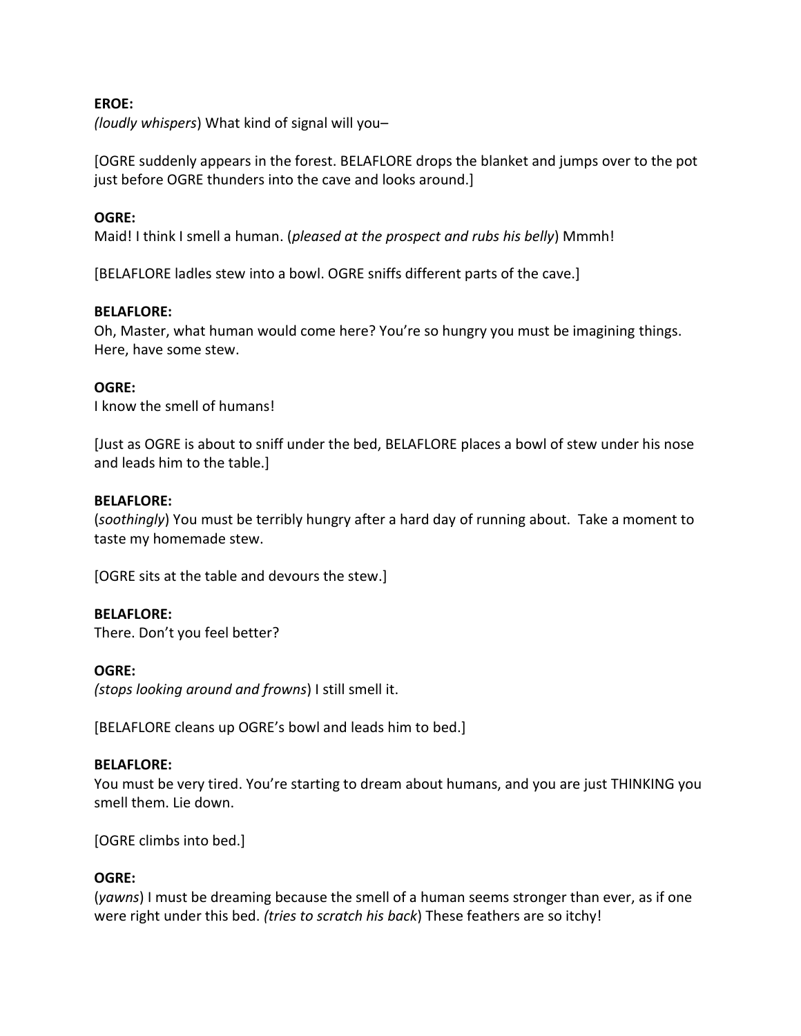## **EROE:**

*(loudly whispers*) What kind of signal will you–

[OGRE suddenly appears in the forest. BELAFLORE drops the blanket and jumps over to the pot just before OGRE thunders into the cave and looks around.]

## **OGRE:**

Maid! I think I smell a human. (*pleased at the prospect and rubs his belly*) Mmmh!

[BELAFLORE ladles stew into a bowl. OGRE sniffs different parts of the cave.]

## **BELAFLORE:**

Oh, Master, what human would come here? You're so hungry you must be imagining things. Here, have some stew.

## **OGRE:**

I know the smell of humans!

[Just as OGRE is about to sniff under the bed, BELAFLORE places a bowl of stew under his nose and leads him to the table.]

#### **BELAFLORE:**

(*soothingly*) You must be terribly hungry after a hard day of running about. Take a moment to taste my homemade stew.

[OGRE sits at the table and devours the stew.]

## **BELAFLORE:**

There. Don't you feel better?

#### **OGRE:**

*(stops looking around and frowns*) I still smell it.

[BELAFLORE cleans up OGRE's bowl and leads him to bed.]

#### **BELAFLORE:**

You must be very tired. You're starting to dream about humans, and you are just THINKING you smell them. Lie down.

[OGRE climbs into bed.]

## **OGRE:**

(*yawns*) I must be dreaming because the smell of a human seems stronger than ever, as if one were right under this bed. *(tries to scratch his back*) These feathers are so itchy!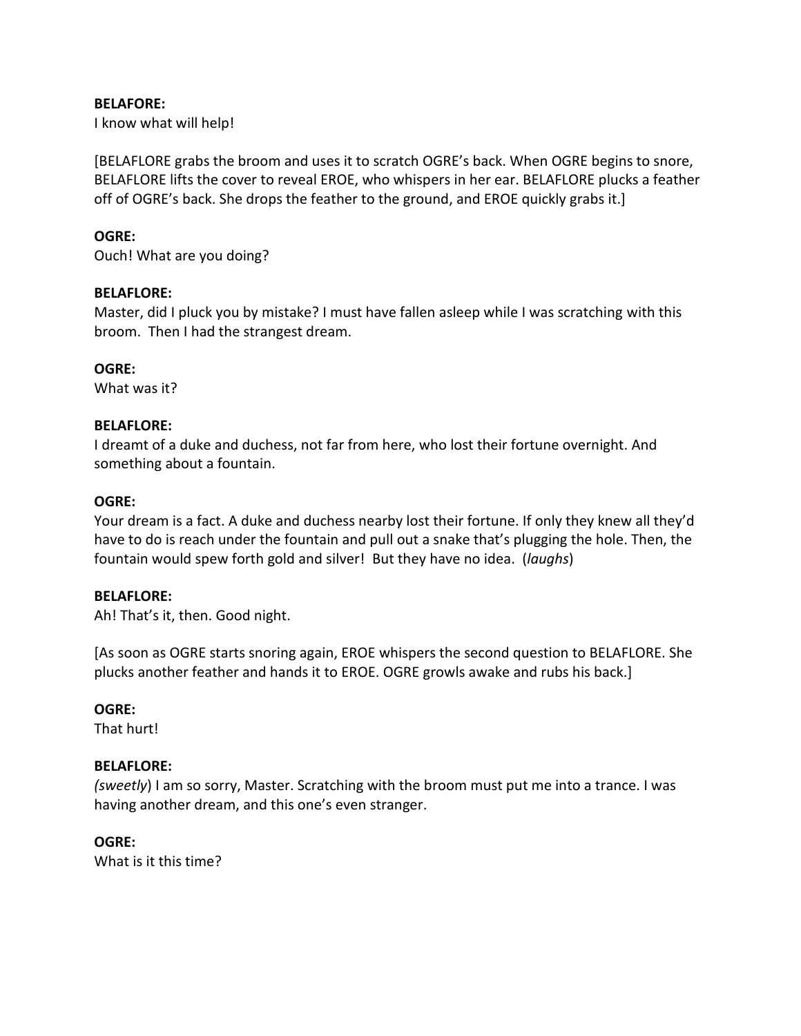#### **BELAFORE:**

I know what will help!

[BELAFLORE grabs the broom and uses it to scratch OGRE's back. When OGRE begins to snore, BELAFLORE lifts the cover to reveal EROE, who whispers in her ear. BELAFLORE plucks a feather off of OGRE's back. She drops the feather to the ground, and EROE quickly grabs it.]

## **OGRE:**

Ouch! What are you doing?

#### **BELAFLORE:**

Master, did I pluck you by mistake? I must have fallen asleep while I was scratching with this broom. Then I had the strangest dream.

**OGRE:**

What was it?

#### **BELAFLORE:**

I dreamt of a duke and duchess, not far from here, who lost their fortune overnight. And something about a fountain.

#### **OGRE:**

Your dream is a fact. A duke and duchess nearby lost their fortune. If only they knew all they'd have to do is reach under the fountain and pull out a snake that's plugging the hole. Then, the fountain would spew forth gold and silver! But they have no idea. (*laughs*)

#### **BELAFLORE:**

Ah! That's it, then. Good night.

[As soon as OGRE starts snoring again, EROE whispers the second question to BELAFLORE. She plucks another feather and hands it to EROE. OGRE growls awake and rubs his back.]

#### **OGRE:**

That hurt!

## **BELAFLORE:**

*(sweetly*) I am so sorry, Master. Scratching with the broom must put me into a trance. I was having another dream, and this one's even stranger.

## **OGRE:**

What is it this time?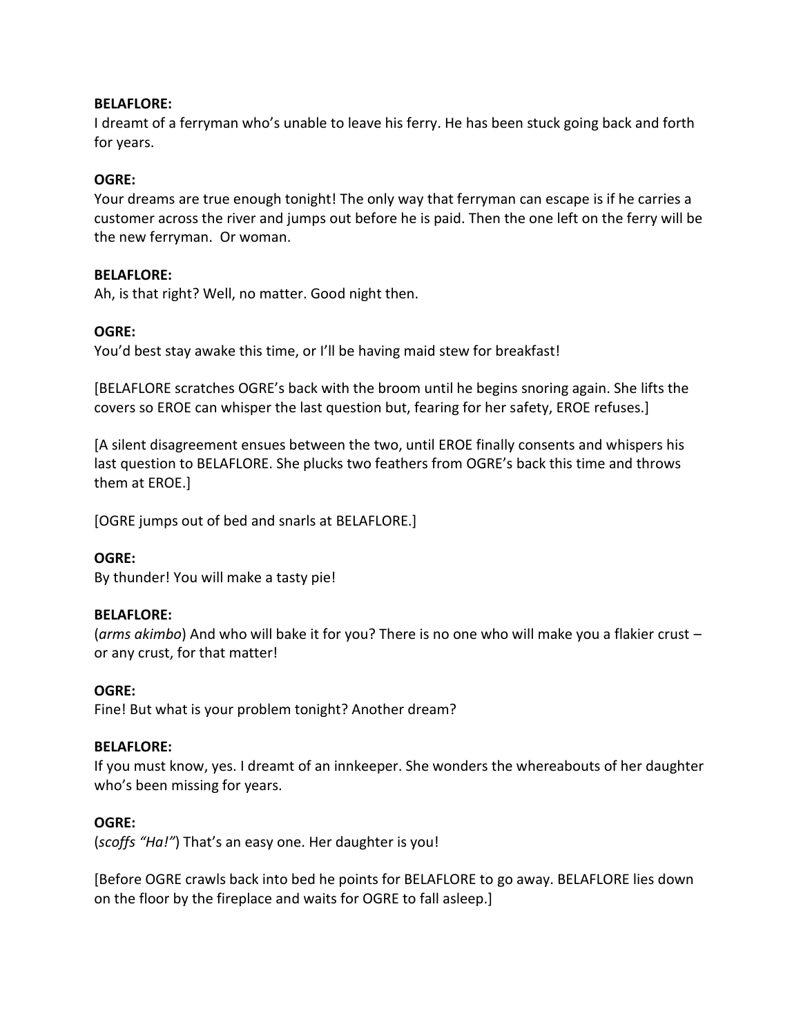## **BELAFLORE:**

I dreamt of a ferryman who's unable to leave his ferry. He has been stuck going back and forth for years.

## **OGRE:**

Your dreams are true enough tonight! The only way that ferryman can escape is if he carries a customer across the river and jumps out before he is paid. Then the one left on the ferry will be the new ferryman. Or woman.

#### **BELAFLORE:**

Ah, is that right? Well, no matter. Good night then.

#### **OGRE:**

You'd best stay awake this time, or I'll be having maid stew for breakfast!

[BELAFLORE scratches OGRE's back with the broom until he begins snoring again. She lifts the covers so EROE can whisper the last question but, fearing for her safety, EROE refuses.]

[A silent disagreement ensues between the two, until EROE finally consents and whispers his last question to BELAFLORE. She plucks two feathers from OGRE's back this time and throws them at EROE.]

[OGRE jumps out of bed and snarls at BELAFLORE.]

#### **OGRE:**

By thunder! You will make a tasty pie!

#### **BELAFLORE:**

(*arms akimbo*) And who will bake it for you? There is no one who will make you a flakier crust – or any crust, for that matter!

#### **OGRE:**

Fine! But what is your problem tonight? Another dream?

#### **BELAFLORE:**

If you must know, yes. I dreamt of an innkeeper. She wonders the whereabouts of her daughter who's been missing for years.

#### **OGRE:**

(*scoffs "Ha!"*) That's an easy one. Her daughter is you!

[Before OGRE crawls back into bed he points for BELAFLORE to go away. BELAFLORE lies down on the floor by the fireplace and waits for OGRE to fall asleep.]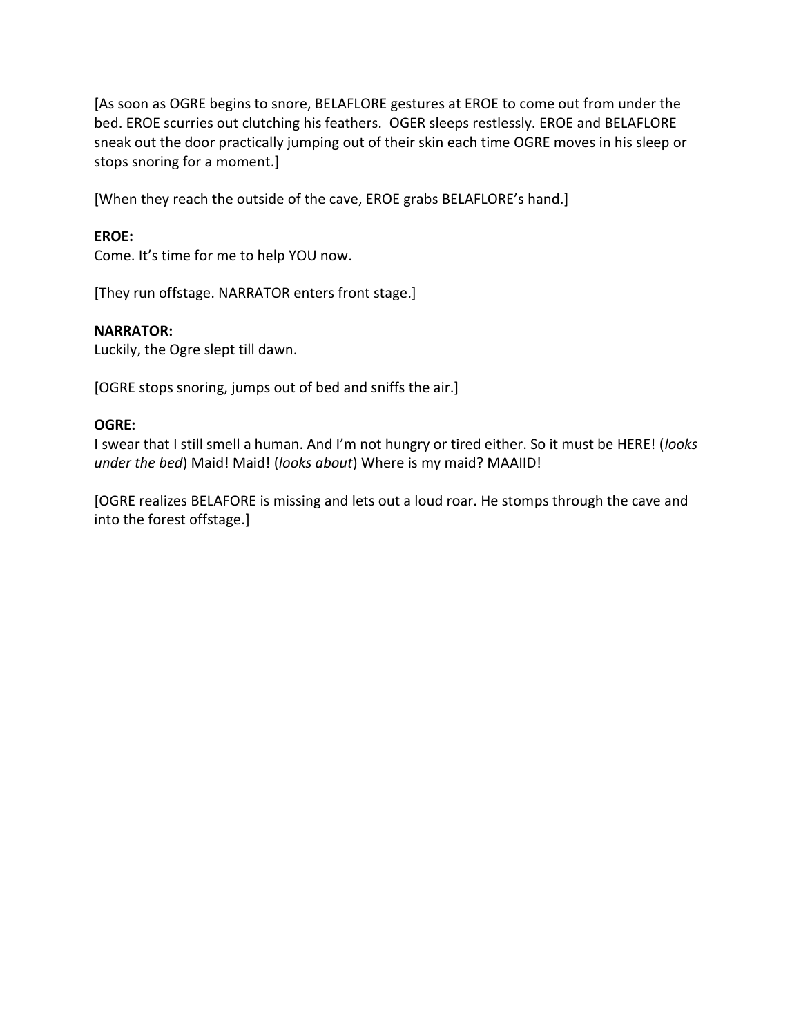[As soon as OGRE begins to snore, BELAFLORE gestures at EROE to come out from under the bed. EROE scurries out clutching his feathers. OGER sleeps restlessly. EROE and BELAFLORE sneak out the door practically jumping out of their skin each time OGRE moves in his sleep or stops snoring for a moment.]

[When they reach the outside of the cave, EROE grabs BELAFLORE's hand.]

## **EROE:**

Come. It's time for me to help YOU now.

[They run offstage. NARRATOR enters front stage.]

#### **NARRATOR:**

Luckily, the Ogre slept till dawn.

[OGRE stops snoring, jumps out of bed and sniffs the air.]

## **OGRE:**

I swear that I still smell a human. And I'm not hungry or tired either. So it must be HERE! (*looks under the bed*) Maid! Maid! (*looks about*) Where is my maid? MAAIID!

[OGRE realizes BELAFORE is missing and lets out a loud roar. He stomps through the cave and into the forest offstage.]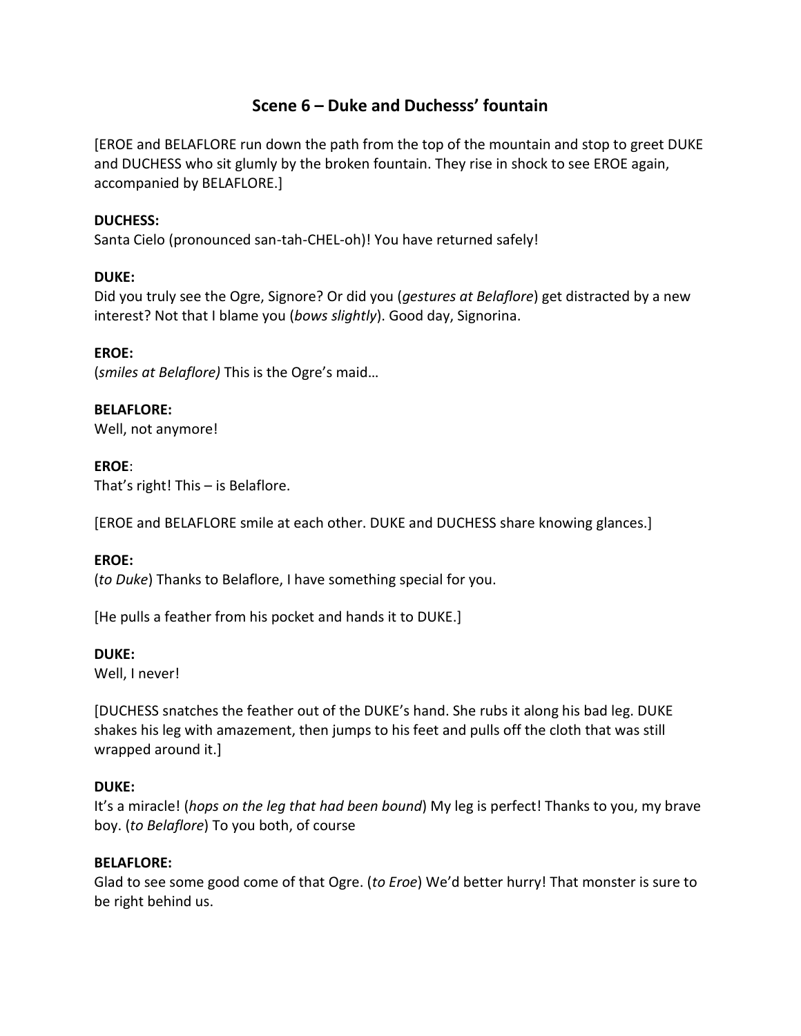# **Scene 6 – Duke and Duchesss' fountain**

[EROE and BELAFLORE run down the path from the top of the mountain and stop to greet DUKE and DUCHESS who sit glumly by the broken fountain. They rise in shock to see EROE again, accompanied by BELAFLORE.]

## **DUCHESS:**

Santa Cielo (pronounced san-tah-CHEL-oh)! You have returned safely!

## **DUKE:**

Did you truly see the Ogre, Signore? Or did you (*gestures at Belaflore*) get distracted by a new interest? Not that I blame you (*bows slightly*). Good day, Signorina.

## **EROE:**

(*smiles at Belaflore)* This is the Ogre's maid…

## **BELAFLORE:**

Well, not anymore!

## **EROE**:

That's right! This – is Belaflore.

[EROE and BELAFLORE smile at each other. DUKE and DUCHESS share knowing glances.]

## **EROE:**

(*to Duke*) Thanks to Belaflore, I have something special for you.

[He pulls a feather from his pocket and hands it to DUKE.]

## **DUKE:**

Well, I never!

[DUCHESS snatches the feather out of the DUKE's hand. She rubs it along his bad leg. DUKE shakes his leg with amazement, then jumps to his feet and pulls off the cloth that was still wrapped around it.]

## **DUKE:**

It's a miracle! (*hops on the leg that had been bound*) My leg is perfect! Thanks to you, my brave boy. (*to Belaflore*) To you both, of course

## **BELAFLORE:**

Glad to see some good come of that Ogre. (*to Eroe*) We'd better hurry! That monster is sure to be right behind us.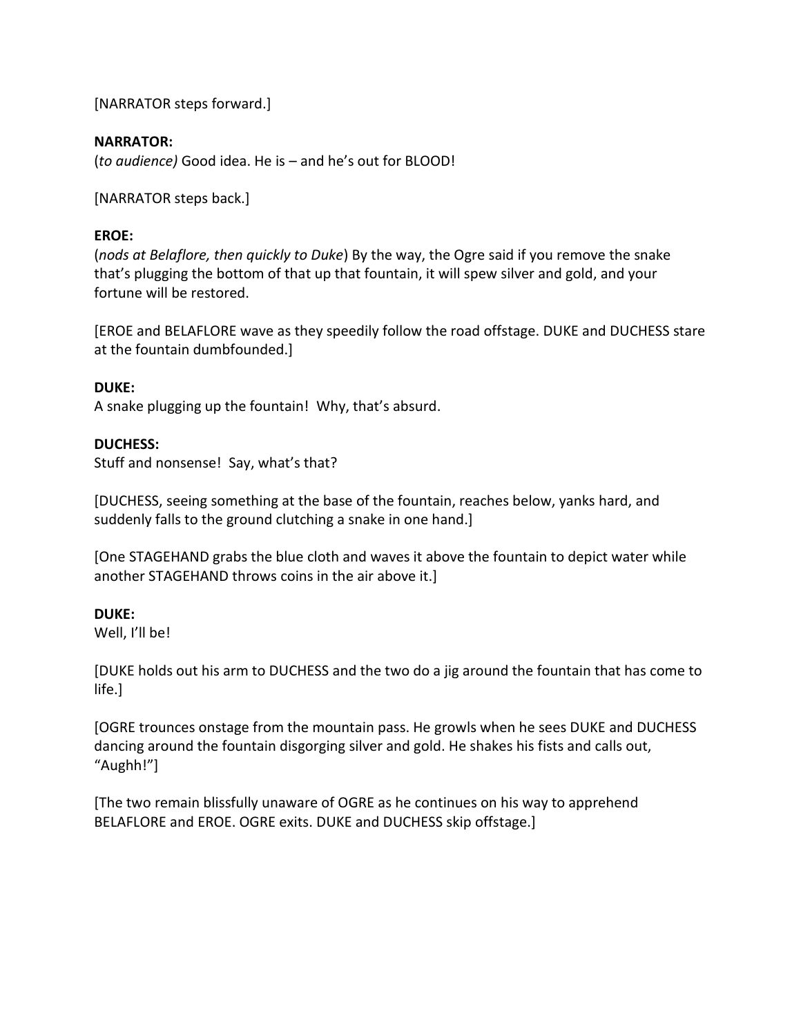[NARRATOR steps forward.]

## **NARRATOR:**

(*to audience)* Good idea. He is – and he's out for BLOOD!

[NARRATOR steps back.]

## **EROE:**

(*nods at Belaflore, then quickly to Duke*) By the way, the Ogre said if you remove the snake that's plugging the bottom of that up that fountain, it will spew silver and gold, and your fortune will be restored.

[EROE and BELAFLORE wave as they speedily follow the road offstage. DUKE and DUCHESS stare at the fountain dumbfounded.]

## **DUKE:**

A snake plugging up the fountain! Why, that's absurd.

## **DUCHESS:**

Stuff and nonsense! Say, what's that?

[DUCHESS, seeing something at the base of the fountain, reaches below, yanks hard, and suddenly falls to the ground clutching a snake in one hand.]

[One STAGEHAND grabs the blue cloth and waves it above the fountain to depict water while another STAGEHAND throws coins in the air above it.]

## **DUKE:**

Well, I'll be!

[DUKE holds out his arm to DUCHESS and the two do a jig around the fountain that has come to life.]

[OGRE trounces onstage from the mountain pass. He growls when he sees DUKE and DUCHESS dancing around the fountain disgorging silver and gold. He shakes his fists and calls out, "Aughh!"]

[The two remain blissfully unaware of OGRE as he continues on his way to apprehend BELAFLORE and EROE. OGRE exits. DUKE and DUCHESS skip offstage.]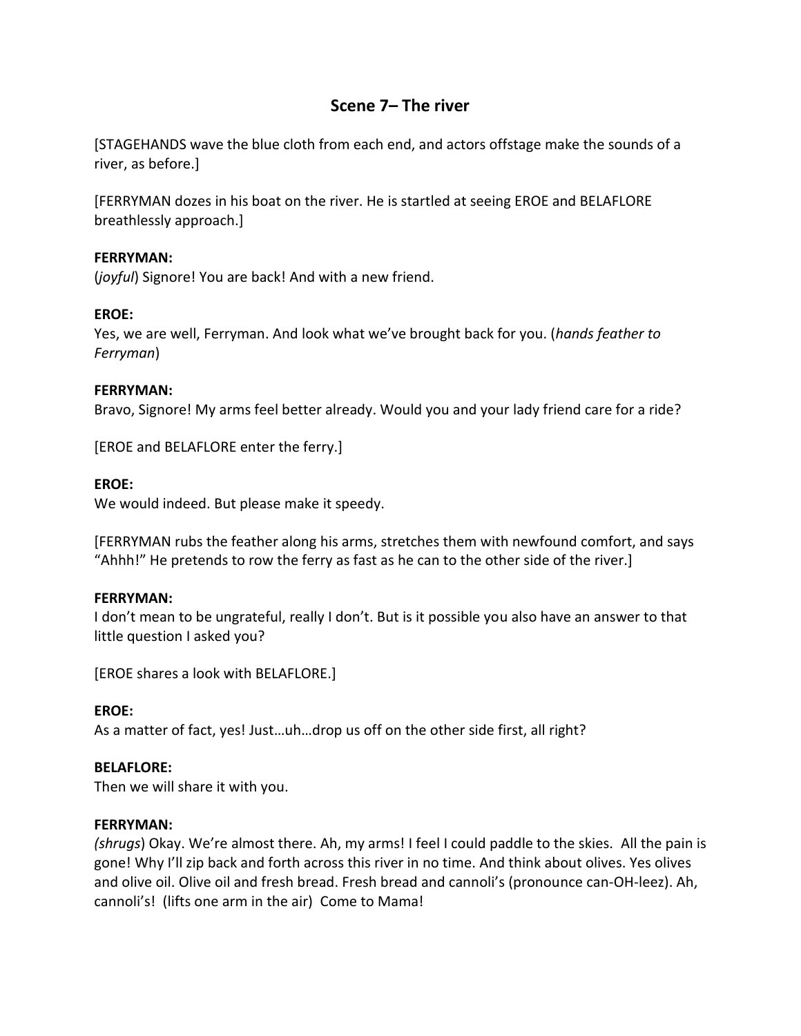# **Scene 7– The river**

[STAGEHANDS wave the blue cloth from each end, and actors offstage make the sounds of a river, as before.]

[FERRYMAN dozes in his boat on the river. He is startled at seeing EROE and BELAFLORE breathlessly approach.]

## **FERRYMAN:**

(*joyful*) Signore! You are back! And with a new friend.

## **EROE:**

Yes, we are well, Ferryman. And look what we've brought back for you. (*hands feather to Ferryman*)

## **FERRYMAN:**

Bravo, Signore! My arms feel better already. Would you and your lady friend care for a ride?

[EROE and BELAFLORE enter the ferry.]

## **EROE:**

We would indeed. But please make it speedy.

[FERRYMAN rubs the feather along his arms, stretches them with newfound comfort, and says "Ahhh!" He pretends to row the ferry as fast as he can to the other side of the river.]

## **FERRYMAN:**

I don't mean to be ungrateful, really I don't. But is it possible you also have an answer to that little question I asked you?

[EROE shares a look with BELAFLORE.]

## **EROE:**

As a matter of fact, yes! Just…uh…drop us off on the other side first, all right?

## **BELAFLORE:**

Then we will share it with you.

## **FERRYMAN:**

*(shrugs*) Okay. We're almost there. Ah, my arms! I feel I could paddle to the skies. All the pain is gone! Why I'll zip back and forth across this river in no time. And think about olives. Yes olives and olive oil. Olive oil and fresh bread. Fresh bread and cannoli's (pronounce can-OH-leez). Ah, cannoli's! (lifts one arm in the air) Come to Mama!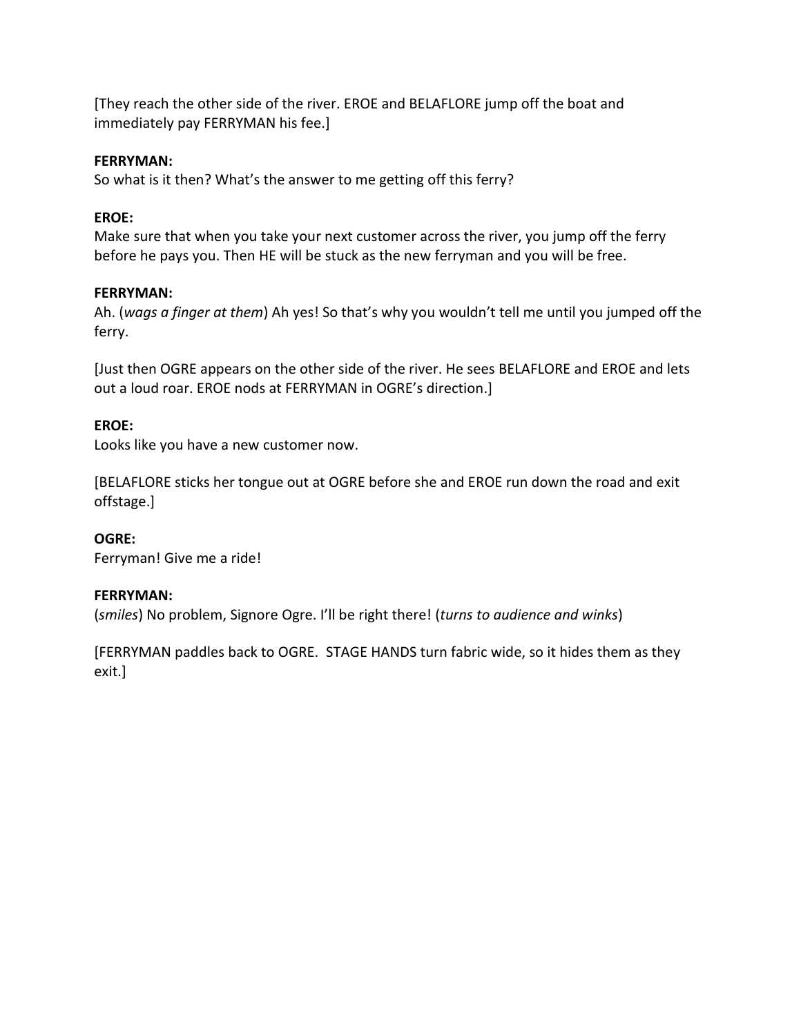[They reach the other side of the river. EROE and BELAFLORE jump off the boat and immediately pay FERRYMAN his fee.]

## **FERRYMAN:**

So what is it then? What's the answer to me getting off this ferry?

## **EROE:**

Make sure that when you take your next customer across the river, you jump off the ferry before he pays you. Then HE will be stuck as the new ferryman and you will be free.

## **FERRYMAN:**

Ah. (*wags a finger at them*) Ah yes! So that's why you wouldn't tell me until you jumped off the ferry.

[Just then OGRE appears on the other side of the river. He sees BELAFLORE and EROE and lets out a loud roar. EROE nods at FERRYMAN in OGRE's direction.]

## **EROE:**

Looks like you have a new customer now.

[BELAFLORE sticks her tongue out at OGRE before she and EROE run down the road and exit offstage.]

## **OGRE:**

Ferryman! Give me a ride!

## **FERRYMAN:**

(*smiles*) No problem, Signore Ogre. I'll be right there! (*turns to audience and winks*)

[FERRYMAN paddles back to OGRE. STAGE HANDS turn fabric wide, so it hides them as they exit.]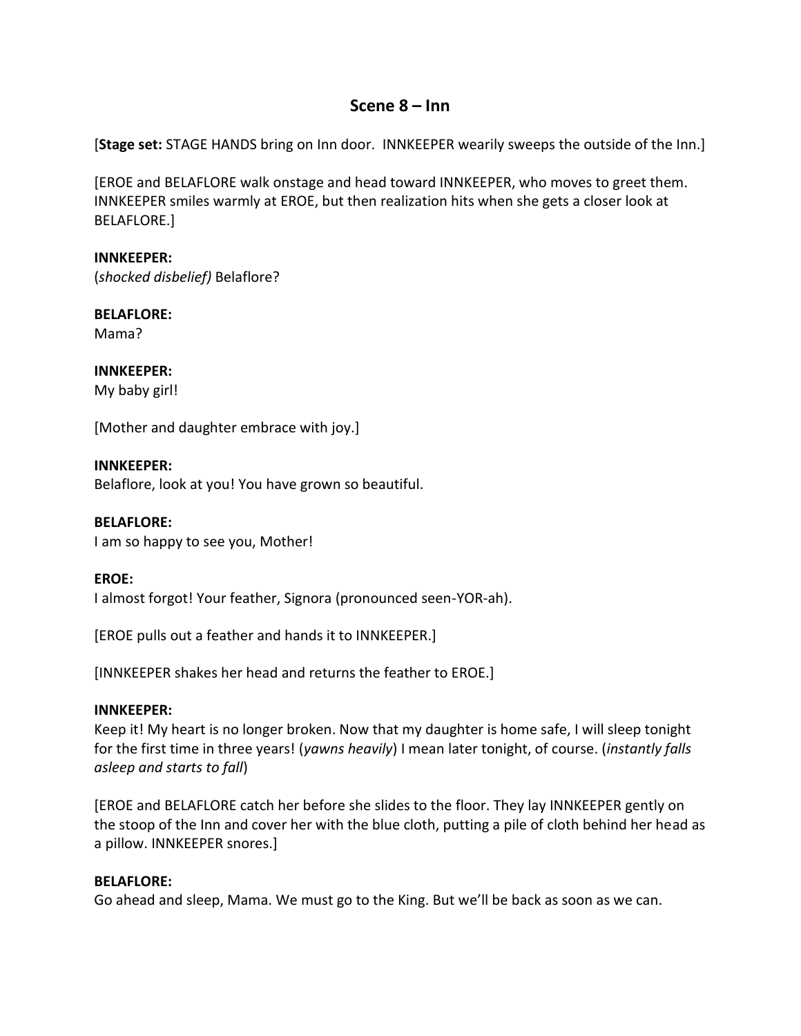## **Scene 8 – Inn**

[**Stage set:** STAGE HANDS bring on Inn door. INNKEEPER wearily sweeps the outside of the Inn.]

[EROE and BELAFLORE walk onstage and head toward INNKEEPER, who moves to greet them. INNKEEPER smiles warmly at EROE, but then realization hits when she gets a closer look at BELAFLORE.]

**INNKEEPER:** (*shocked disbelief)* Belaflore?

**BELAFLORE:** Mama?

**INNKEEPER:** My baby girl!

[Mother and daughter embrace with joy.]

**INNKEEPER:** Belaflore, look at you! You have grown so beautiful.

**BELAFLORE:** I am so happy to see you, Mother!

**EROE:** I almost forgot! Your feather, Signora (pronounced seen-YOR-ah).

[EROE pulls out a feather and hands it to INNKEEPER.]

[INNKEEPER shakes her head and returns the feather to EROE.]

## **INNKEEPER:**

Keep it! My heart is no longer broken. Now that my daughter is home safe, I will sleep tonight for the first time in three years! (*yawns heavily*) I mean later tonight, of course. (*instantly falls asleep and starts to fall*)

[EROE and BELAFLORE catch her before she slides to the floor. They lay INNKEEPER gently on the stoop of the Inn and cover her with the blue cloth, putting a pile of cloth behind her head as a pillow. INNKEEPER snores.]

## **BELAFLORE:**

Go ahead and sleep, Mama. We must go to the King. But we'll be back as soon as we can.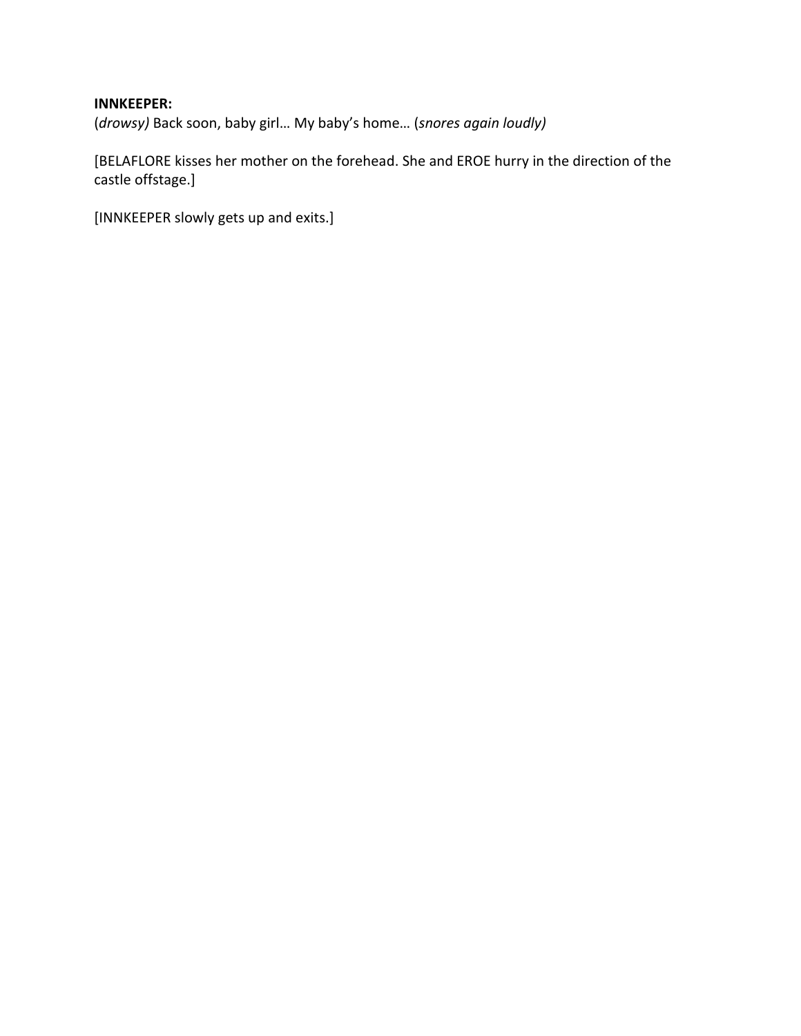# **INNKEEPER:**

(*drowsy)* Back soon, baby girl… My baby's home… (*snores again loudly)*

[BELAFLORE kisses her mother on the forehead. She and EROE hurry in the direction of the castle offstage.]

[INNKEEPER slowly gets up and exits.]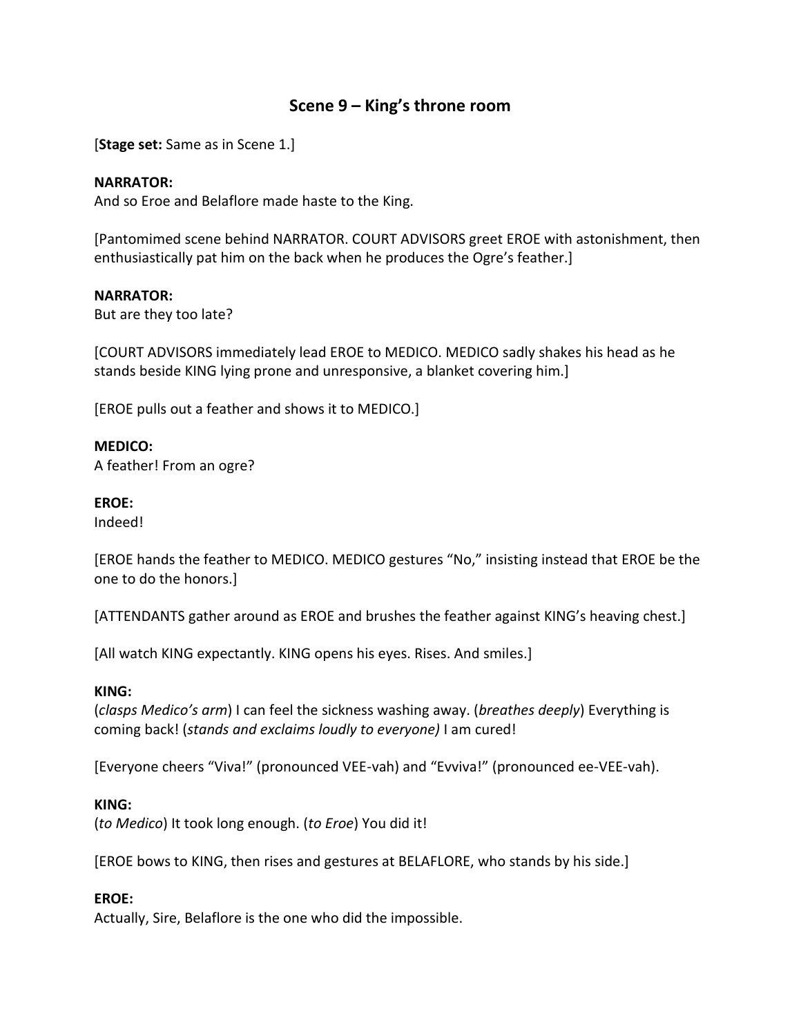## **Scene 9 – King's throne room**

[**Stage set:** Same as in Scene 1.]

#### **NARRATOR:**

And so Eroe and Belaflore made haste to the King.

[Pantomimed scene behind NARRATOR. COURT ADVISORS greet EROE with astonishment, then enthusiastically pat him on the back when he produces the Ogre's feather.]

#### **NARRATOR:**

But are they too late?

[COURT ADVISORS immediately lead EROE to MEDICO. MEDICO sadly shakes his head as he stands beside KING lying prone and unresponsive, a blanket covering him.]

[EROE pulls out a feather and shows it to MEDICO.]

#### **MEDICO:**

A feather! From an ogre?

#### **EROE:**

Indeed!

[EROE hands the feather to MEDICO. MEDICO gestures "No," insisting instead that EROE be the one to do the honors.]

[ATTENDANTS gather around as EROE and brushes the feather against KING's heaving chest.]

[All watch KING expectantly. KING opens his eyes. Rises. And smiles.]

#### **KING:**

(*clasps Medico's arm*) I can feel the sickness washing away. (*breathes deeply*) Everything is coming back! (*stands and exclaims loudly to everyone)* I am cured!

[Everyone cheers "Viva!" (pronounced VEE-vah) and "Evviva!" (pronounced ee-VEE-vah).

#### **KING:**

(*to Medico*) It took long enough. (*to Eroe*) You did it!

[EROE bows to KING, then rises and gestures at BELAFLORE, who stands by his side.]

#### **EROE:**

Actually, Sire, Belaflore is the one who did the impossible.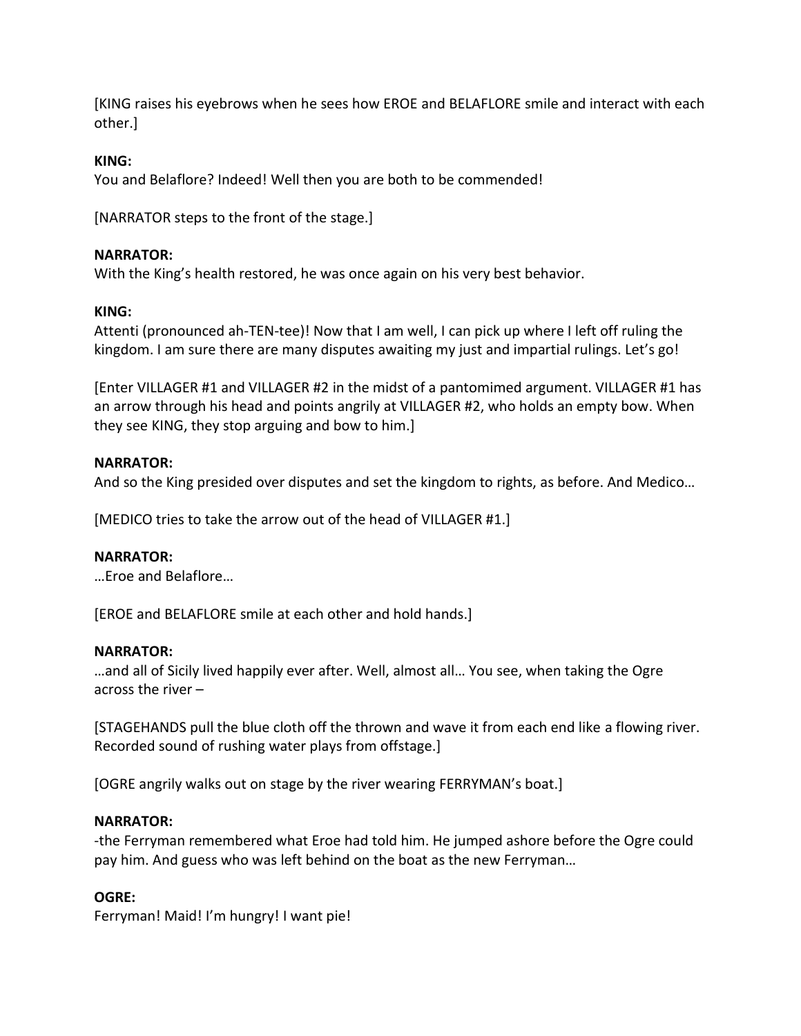[KING raises his eyebrows when he sees how EROE and BELAFLORE smile and interact with each other.]

## **KING:**

You and Belaflore? Indeed! Well then you are both to be commended!

[NARRATOR steps to the front of the stage.]

## **NARRATOR:**

With the King's health restored, he was once again on his very best behavior.

## **KING:**

Attenti (pronounced ah-TEN-tee)! Now that I am well, I can pick up where I left off ruling the kingdom. I am sure there are many disputes awaiting my just and impartial rulings. Let's go!

[Enter VILLAGER #1 and VILLAGER #2 in the midst of a pantomimed argument. VILLAGER #1 has an arrow through his head and points angrily at VILLAGER #2, who holds an empty bow. When they see KING, they stop arguing and bow to him.]

## **NARRATOR:**

And so the King presided over disputes and set the kingdom to rights, as before. And Medico…

[MEDICO tries to take the arrow out of the head of VILLAGER #1.]

## **NARRATOR:**

…Eroe and Belaflore…

[EROE and BELAFLORE smile at each other and hold hands.]

## **NARRATOR:**

…and all of Sicily lived happily ever after. Well, almost all… You see, when taking the Ogre across the river –

[STAGEHANDS pull the blue cloth off the thrown and wave it from each end like a flowing river. Recorded sound of rushing water plays from offstage.]

[OGRE angrily walks out on stage by the river wearing FERRYMAN's boat.]

## **NARRATOR:**

-the Ferryman remembered what Eroe had told him. He jumped ashore before the Ogre could pay him. And guess who was left behind on the boat as the new Ferryman…

## **OGRE:**

Ferryman! Maid! I'm hungry! I want pie!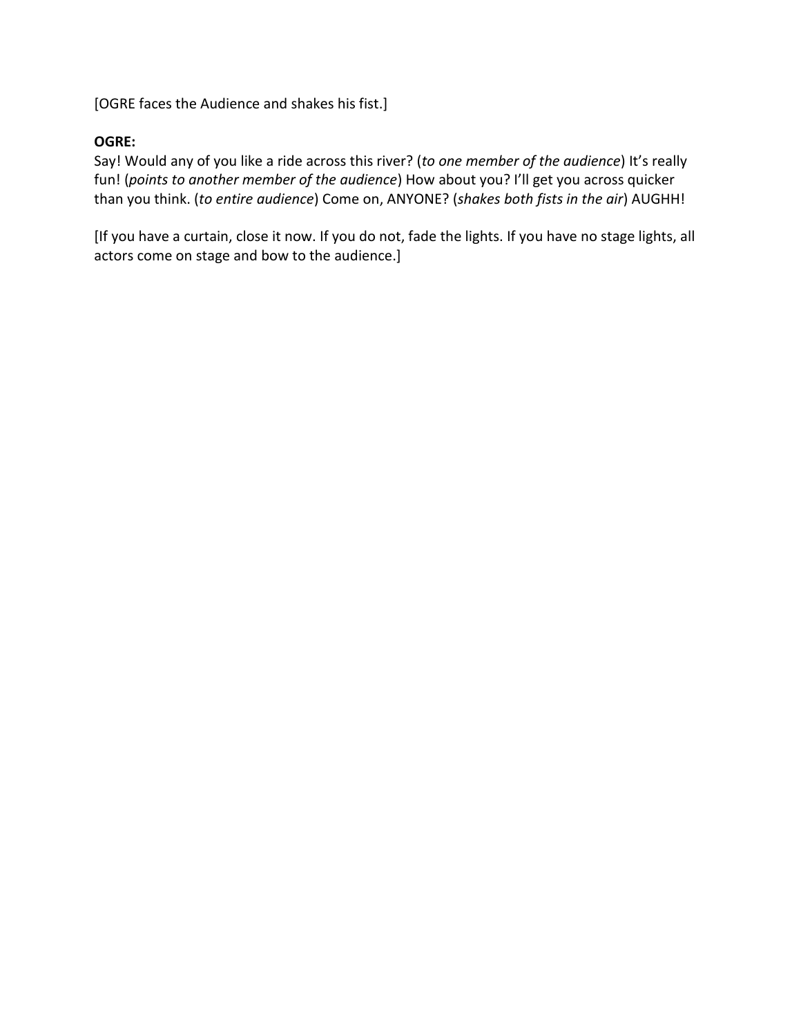[OGRE faces the Audience and shakes his fist.]

## **OGRE:**

Say! Would any of you like a ride across this river? (*to one member of the audience*) It's really fun! (*points to another member of the audience*) How about you? I'll get you across quicker than you think. (*to entire audience*) Come on, ANYONE? (*shakes both fists in the air*) AUGHH!

[If you have a curtain, close it now. If you do not, fade the lights. If you have no stage lights, all actors come on stage and bow to the audience.]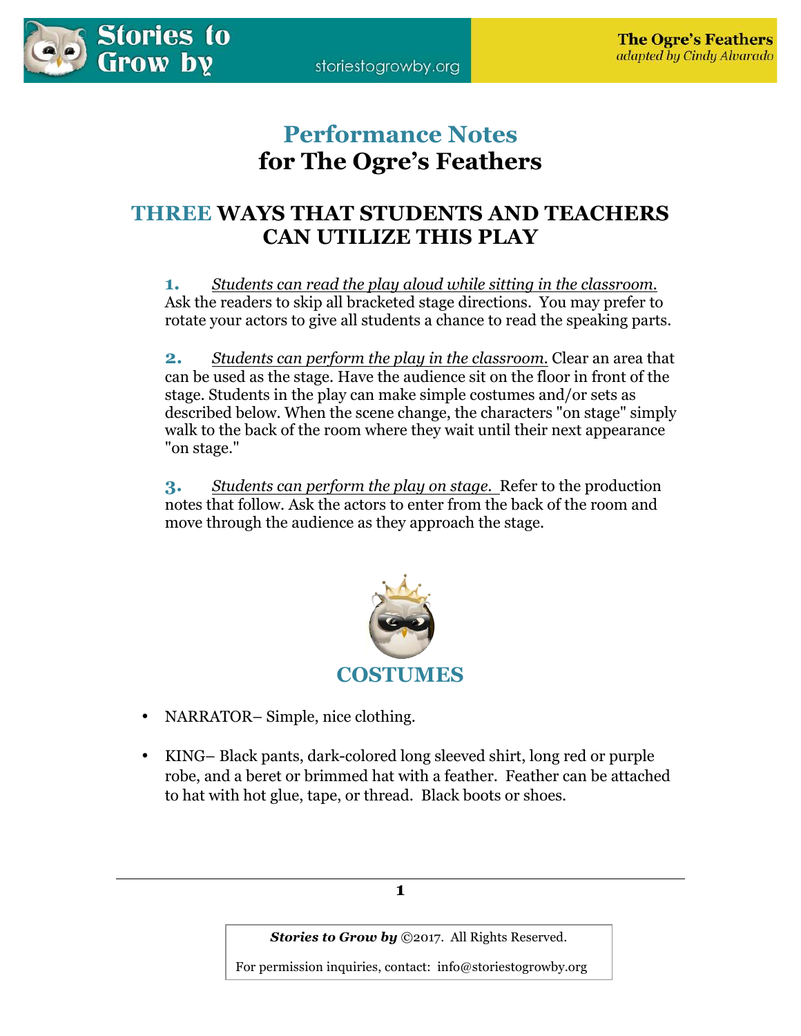# **Performance Notes for The Ogre's Feathers**

# **THREE WAYS THAT STUDENTS AND TEACHERS CAN UTILIZE THIS PLAY**

**1.** *Students can read the play aloud while sitting in the classroom.* Ask the readers to skip all bracketed stage directions. You may prefer to rotate your actors to give all students a chance to read the speaking parts.

**2.** *Students can perform the play in the classroom.* Clear an area that can be used as the stage. Have the audience sit on the floor in front of the stage. Students in the play can make simple costumes and/or sets as described below. When the scene change, the characters "on stage" simply walk to the back of the room where they wait until their next appearance "on stage."

**3.** *Students can perform the play on stage.* Refer to the production notes that follow. Ask the actors to enter from the back of the room and move through the audience as they approach the stage.



- NARRATOR–Simple, nice clothing.
- KING– Black pants, dark-colored long sleeved shirt, long red or purple robe, and a beret or brimmed hat with a feather. Feather can be attached to hat with hot glue, tape, or thread. Black boots or shoes.



*Stories to Grow by* ©2017. All Rights Reserved.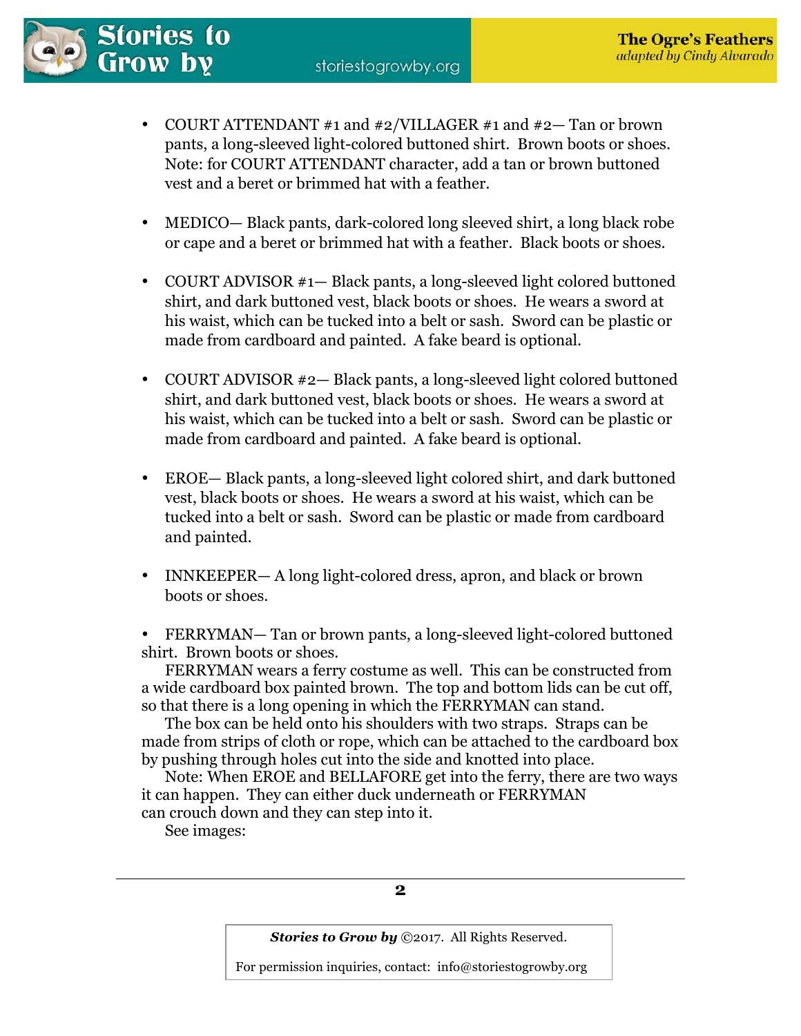

- COURT ATTENDANT #1 and #2/VILLAGER #1 and #2— Tan or brown pants, a long-sleeved light-colored buttoned shirt. Brown boots or shoes. Note: for COURT ATTENDANT character, add a tan or brown buttoned vest and a beret or brimmed hat with a feather.
- MEDICO— Black pants, dark-colored long sleeved shirt, a long black robe or cape and a beret or brimmed hat with a feather. Black boots or shoes.
- COURT ADVISOR #1— Black pants, a long-sleeved light colored buttoned shirt, and dark buttoned vest, black boots or shoes. He wears a sword at his waist, which can be tucked into a belt or sash. Sword can be plastic or made from cardboard and painted. A fake beard is optional.
- COURT ADVISOR #2— Black pants, a long-sleeved light colored buttoned shirt, and dark buttoned vest, black boots or shoes. He wears a sword at his waist, which can be tucked into a belt or sash. Sword can be plastic or made from cardboard and painted. A fake beard is optional.
- EROE— Black pants, a long-sleeved light colored shirt, and dark buttoned vest, black boots or shoes. He wears a sword at his waist, which can be tucked into a belt or sash. Sword can be plastic or made from cardboard and painted.
- INNKEEPER— A long light-colored dress, apron, and black or brown boots or shoes.

• FERRYMAN— Tan or brown pants, a long-sleeved light-colored buttoned shirt. Brown boots or shoes.

FERRYMAN wears a ferry costume as well. This can be constructed from a wide cardboard box painted brown. The top and bottom lids can be cut off, so that there is a long opening in which the FERRYMAN can stand.

 The box can be held onto his shoulders with two straps. Straps can be made from strips of cloth or rope, which can be attached to the cardboard box by pushing through holes cut into the side and knotted into place.

 Note: When EROE and BELLAFORE get into the ferry, there are two ways it can happen. They can either duck underneath or FERRYMAN can crouch down and they can step into it.

See images:



*Stories to Grow by* ©2017. All Rights Reserved.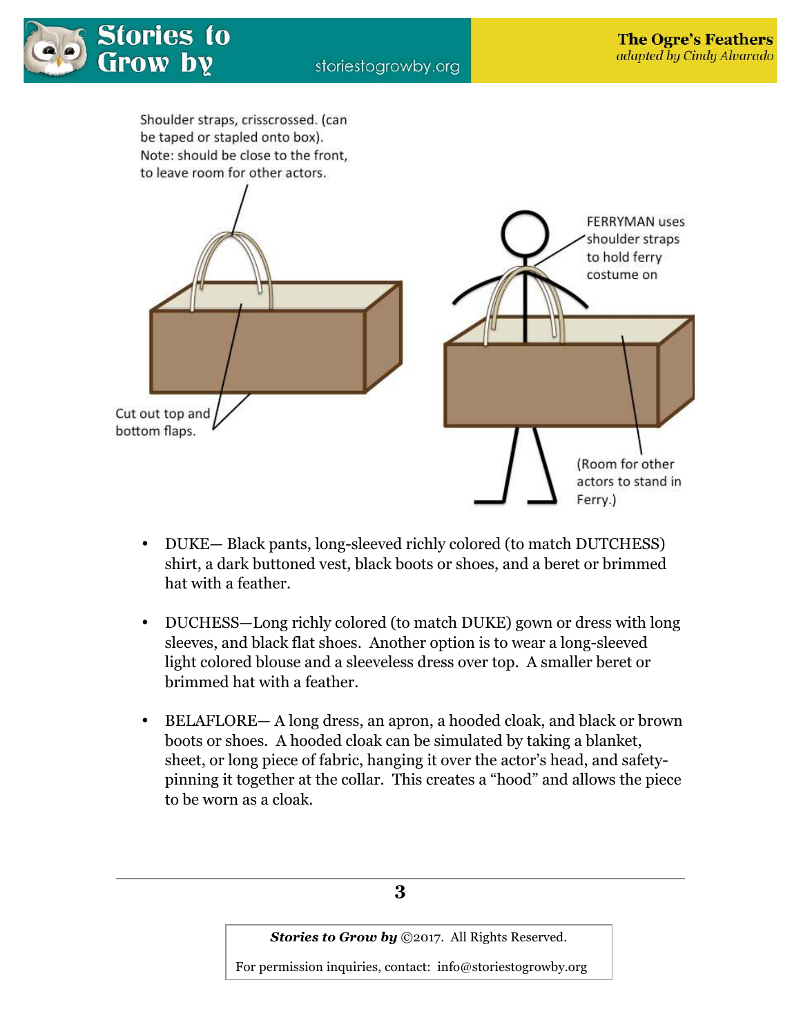



- DUKE— Black pants, long-sleeved richly colored (to match DUTCHESS) shirt, a dark buttoned vest, black boots or shoes, and a beret or brimmed hat with a feather.
- DUCHESS—Long richly colored (to match DUKE) gown or dress with long sleeves, and black flat shoes. Another option is to wear a long-sleeved light colored blouse and a sleeveless dress over top. A smaller beret or brimmed hat with a feather.
- BELAFLORE— A long dress, an apron, a hooded cloak, and black or brown boots or shoes. A hooded cloak can be simulated by taking a blanket, sheet, or long piece of fabric, hanging it over the actor's head, and safetypinning it together at the collar. This creates a "hood" and allows the piece to be worn as a cloak.

**3** 

*Stories to Grow by* ©2017. All Rights Reserved.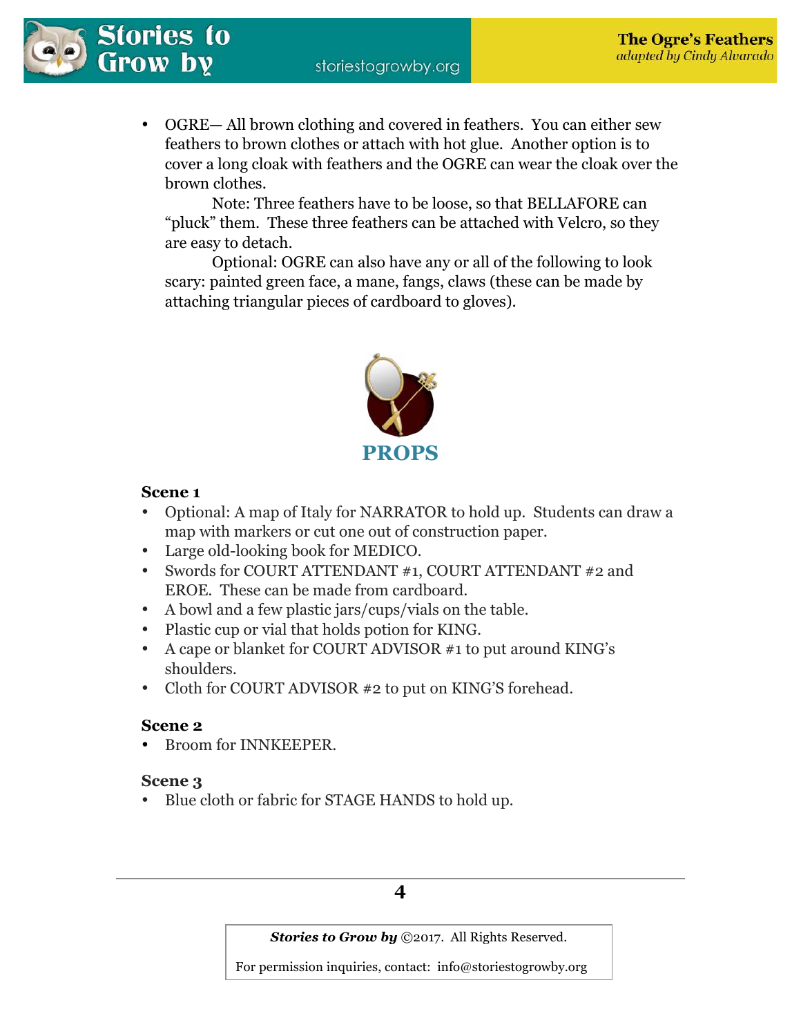

• OGRE— All brown clothing and covered in feathers. You can either sew feathers to brown clothes or attach with hot glue. Another option is to cover a long cloak with feathers and the OGRE can wear the cloak over the brown clothes.

 Note: Three feathers have to be loose, so that BELLAFORE can "pluck" them. These three feathers can be attached with Velcro, so they are easy to detach.

 Optional: OGRE can also have any or all of the following to look scary: painted green face, a mane, fangs, claws (these can be made by attaching triangular pieces of cardboard to gloves).



## **Scene 1**

- Optional: A map of Italy for NARRATOR to hold up. Students can draw a map with markers or cut one out of construction paper.
- Large old-looking book for MEDICO.
- Swords for COURT ATTENDANT #1, COURT ATTENDANT #2 and EROE. These can be made from cardboard.
- A bowl and a few plastic jars/cups/vials on the table.
- Plastic cup or vial that holds potion for KING.
- A cape or blanket for COURT ADVISOR #1 to put around KING's shoulders.
- Cloth for COURT ADVISOR #2 to put on KING'S forehead.

## **Scene 2**

• Broom for INNKEEPER.

## **Scene 3**

• Blue cloth or fabric for STAGE HANDS to hold up.

## **4**

*Stories to Grow by* ©2017. All Rights Reserved.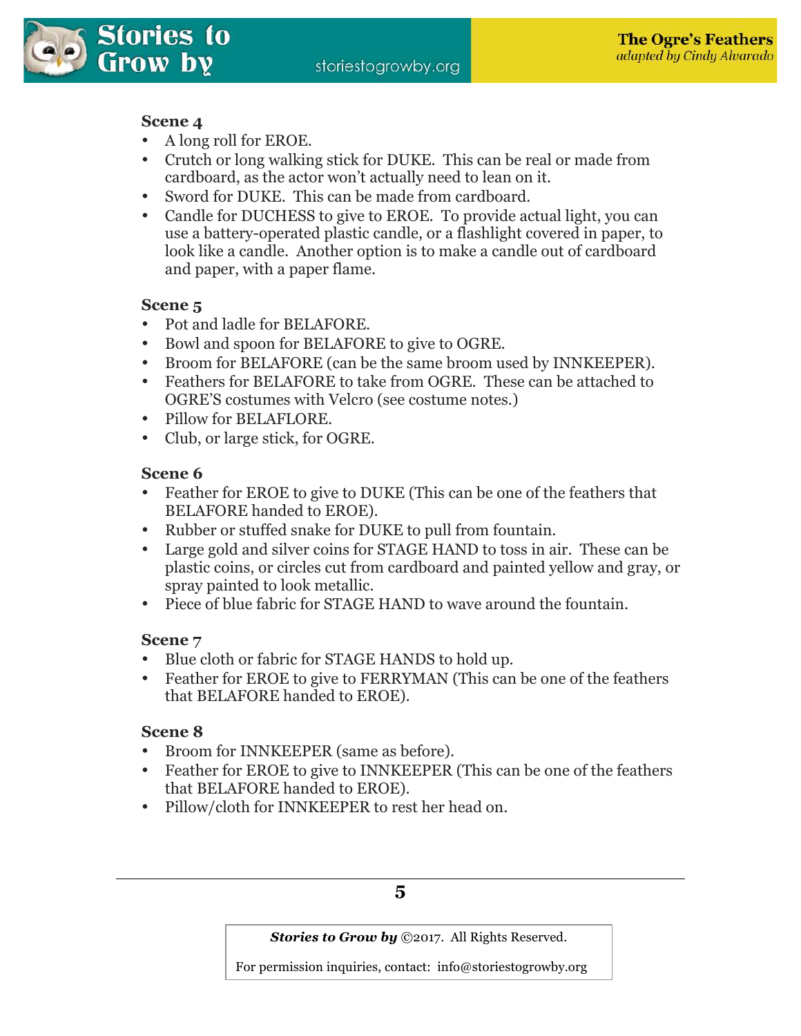

## **Scene 4**

- A long roll for EROE.
- Crutch or long walking stick for DUKE. This can be real or made from cardboard, as the actor won't actually need to lean on it.
- Sword for DUKE. This can be made from cardboard.
- Candle for DUCHESS to give to EROE. To provide actual light, you can use a battery-operated plastic candle, or a flashlight covered in paper, to look like a candle. Another option is to make a candle out of cardboard and paper, with a paper flame.

## **Scene 5**

- Pot and ladle for BELAFORE.
- Bowl and spoon for BELAFORE to give to OGRE.
- Broom for BELAFORE (can be the same broom used by INNKEEPER).
- Feathers for BELAFORE to take from OGRE. These can be attached to OGRE'S costumes with Velcro (see costume notes.)
- Pillow for BELAFLORE.
- Club, or large stick, for OGRE.

## **Scene 6**

- Feather for EROE to give to DUKE (This can be one of the feathers that BELAFORE handed to EROE).
- Rubber or stuffed snake for DUKE to pull from fountain.
- Large gold and silver coins for STAGE HAND to toss in air. These can be plastic coins, or circles cut from cardboard and painted yellow and gray, or spray painted to look metallic.
- Piece of blue fabric for STAGE HAND to wave around the fountain.

## **Scene 7**

- Blue cloth or fabric for STAGE HANDS to hold up.
- Feather for EROE to give to FERRYMAN (This can be one of the feathers that BELAFORE handed to EROE).

## **Scene 8**

- Broom for INNKEEPER (same as before).
- Feather for EROE to give to INNKEEPER (This can be one of the feathers that BELAFORE handed to EROE).
- Pillow/cloth for INNKEEPER to rest her head on.

## **5**

*Stories to Grow by* ©2017. All Rights Reserved.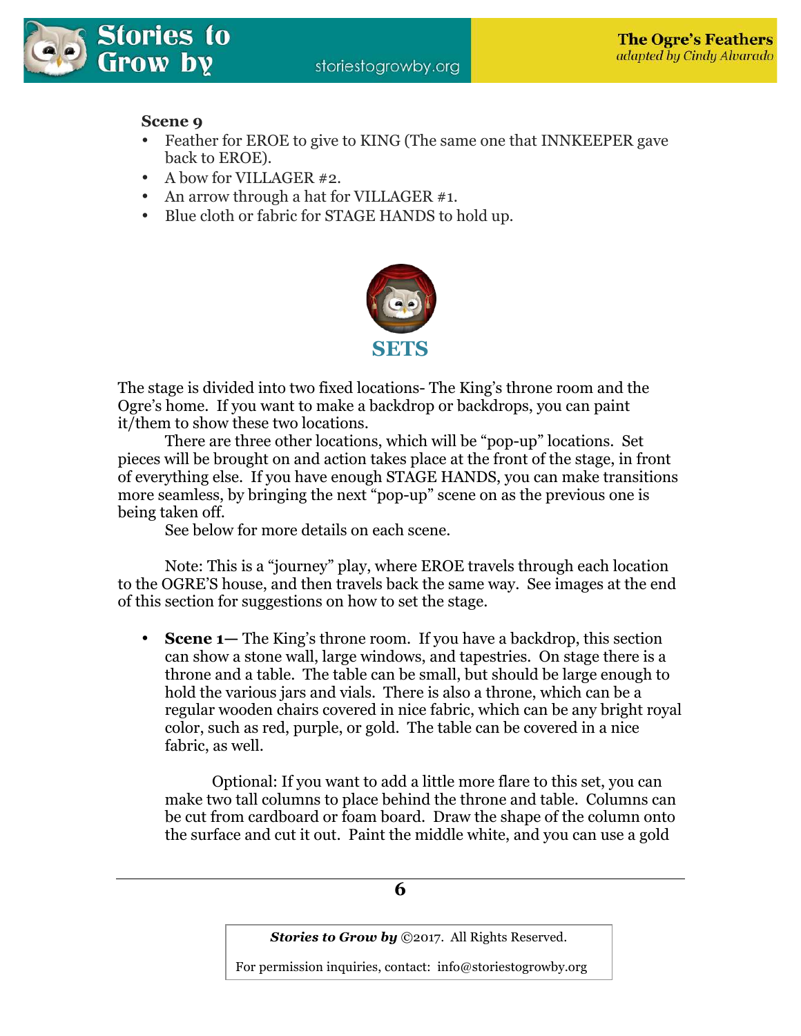

## **Scene 9**

- Feather for EROE to give to KING (The same one that INNKEEPER gave back to EROE).
- A bow for VILLAGER #2.
- An arrow through a hat for VILLAGER #1.
- Blue cloth or fabric for STAGE HANDS to hold up.



The stage is divided into two fixed locations- The King's throne room and the Ogre's home. If you want to make a backdrop or backdrops, you can paint it/them to show these two locations.

 There are three other locations, which will be "pop-up" locations. Set pieces will be brought on and action takes place at the front of the stage, in front of everything else. If you have enough STAGE HANDS, you can make transitions more seamless, by bringing the next "pop-up" scene on as the previous one is being taken off.

See below for more details on each scene.

 Note: This is a "journey" play, where EROE travels through each location to the OGRE'S house, and then travels back the same way. See images at the end of this section for suggestions on how to set the stage.

• **Scene 1—** The King's throne room. If you have a backdrop, this section can show a stone wall, large windows, and tapestries. On stage there is a throne and a table. The table can be small, but should be large enough to hold the various jars and vials. There is also a throne, which can be a regular wooden chairs covered in nice fabric, which can be any bright royal color, such as red, purple, or gold. The table can be covered in a nice fabric, as well.

 Optional: If you want to add a little more flare to this set, you can make two tall columns to place behind the throne and table. Columns can be cut from cardboard or foam board. Draw the shape of the column onto the surface and cut it out. Paint the middle white, and you can use a gold

**6** 

*Stories to Grow by* ©2017. All Rights Reserved.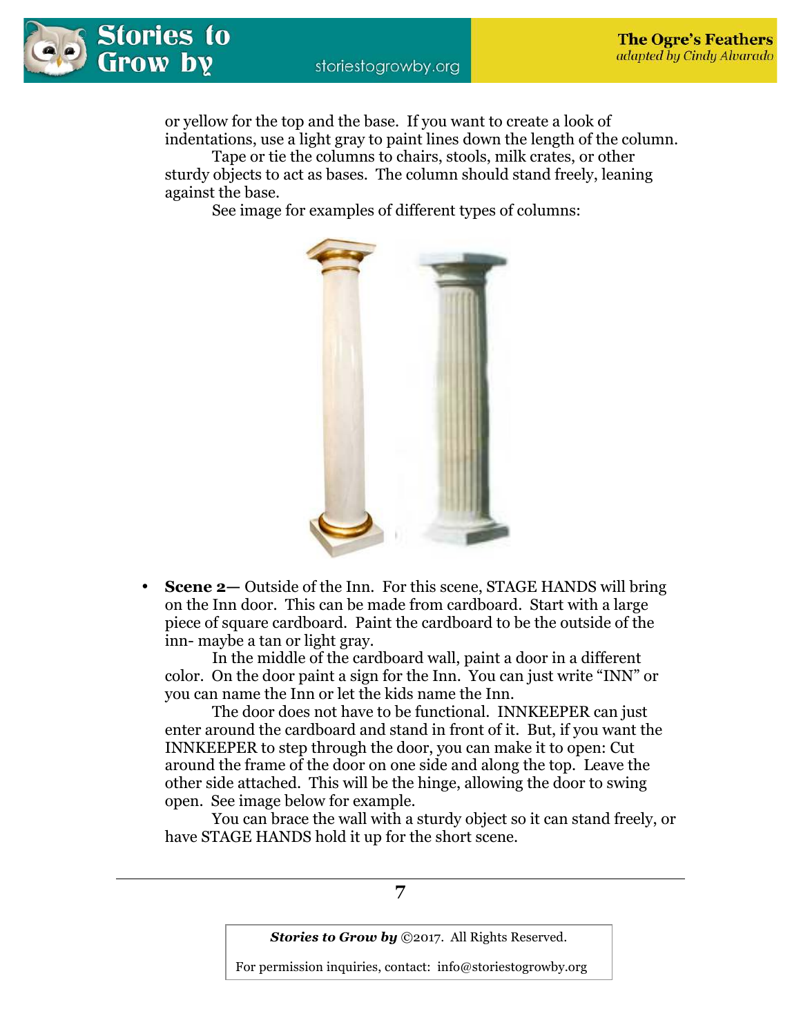

or yellow for the top and the base. If you want to create a look of indentations, use a light gray to paint lines down the length of the column.

 Tape or tie the columns to chairs, stools, milk crates, or other sturdy objects to act as bases. The column should stand freely, leaning against the base.

See image for examples of different types of columns:



**Scene 2—** Outside of the Inn. For this scene, STAGE HANDS will bring on the Inn door. This can be made from cardboard. Start with a large piece of square cardboard. Paint the cardboard to be the outside of the inn- maybe a tan or light gray.

 In the middle of the cardboard wall, paint a door in a different color. On the door paint a sign for the Inn. You can just write "INN" or you can name the Inn or let the kids name the Inn.

 The door does not have to be functional. INNKEEPER can just enter around the cardboard and stand in front of it. But, if you want the INNKEEPER to step through the door, you can make it to open: Cut around the frame of the door on one side and along the top. Leave the other side attached. This will be the hinge, allowing the door to swing open. See image below for example.

 You can brace the wall with a sturdy object so it can stand freely, or have STAGE HANDS hold it up for the short scene.

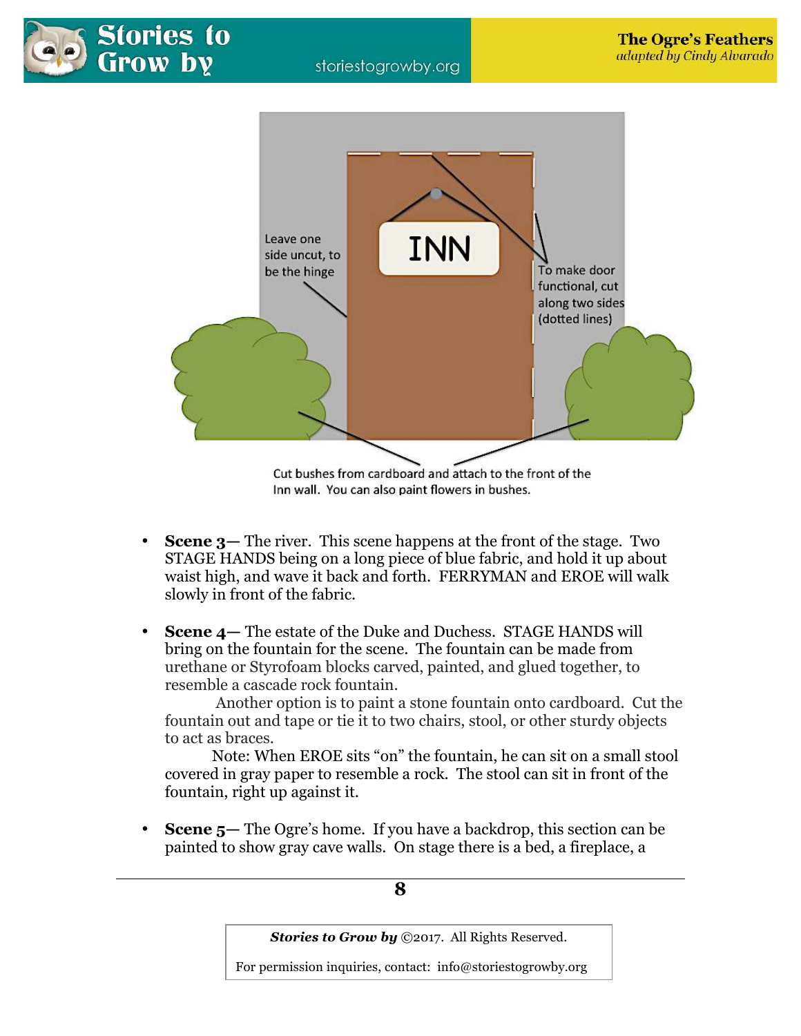



Inn wall. You can also paint flowers in bushes.

- **Scene 3—** The river. This scene happens at the front of the stage. Two STAGE HANDS being on a long piece of blue fabric, and hold it up about waist high, and wave it back and forth. FERRYMAN and EROE will walk slowly in front of the fabric.
- **Scene 4—** The estate of the Duke and Duchess. STAGE HANDS will bring on the fountain for the scene. The fountain can be made from urethane or Styrofoam blocks carved, painted, and glued together, to resemble a cascade rock fountain.

 Another option is to paint a stone fountain onto cardboard. Cut the fountain out and tape or tie it to two chairs, stool, or other sturdy objects to act as braces.

Note: When EROE sits "on" the fountain, he can sit on a small stool covered in gray paper to resemble a rock. The stool can sit in front of the fountain, right up against it.

• **Scene 5—** The Ogre's home. If you have a backdrop, this section can be painted to show gray cave walls. On stage there is a bed, a fireplace, a

## **8**

**Stories to Grow by** ©2017. All Rights Reserved.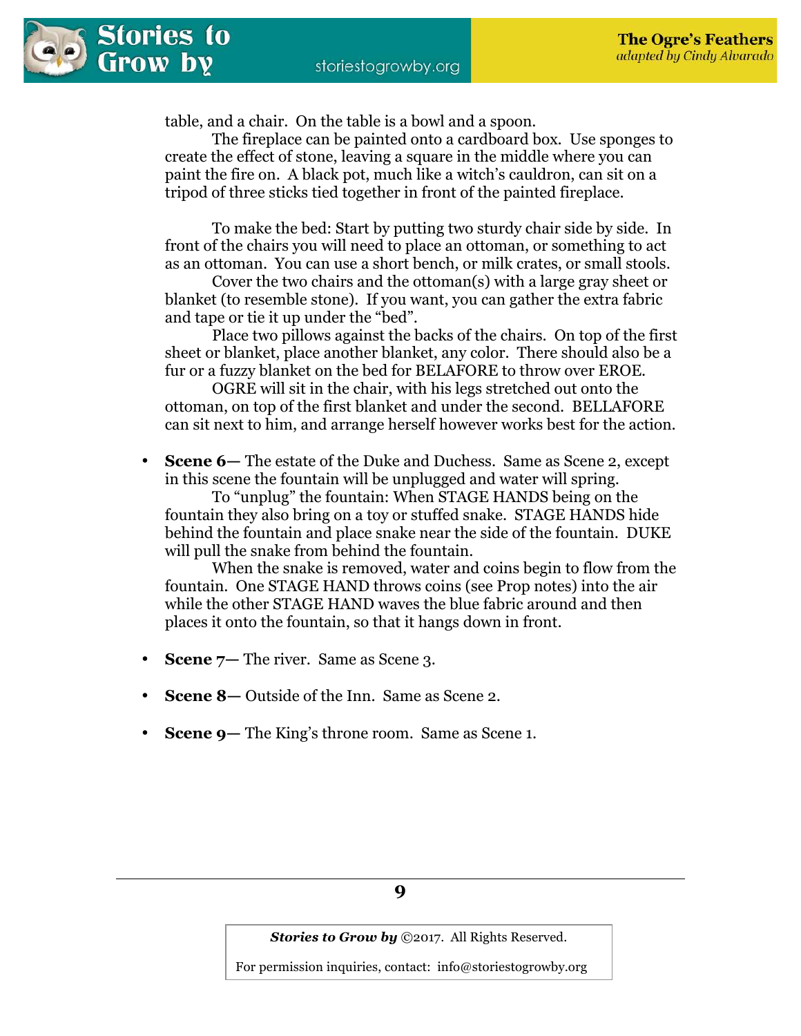table, and a chair. On the table is a bowl and a spoon.

 The fireplace can be painted onto a cardboard box. Use sponges to create the effect of stone, leaving a square in the middle where you can paint the fire on. A black pot, much like a witch's cauldron, can sit on a tripod of three sticks tied together in front of the painted fireplace.

 To make the bed: Start by putting two sturdy chair side by side. In front of the chairs you will need to place an ottoman, or something to act as an ottoman. You can use a short bench, or milk crates, or small stools.

 Cover the two chairs and the ottoman(s) with a large gray sheet or blanket (to resemble stone). If you want, you can gather the extra fabric and tape or tie it up under the "bed".

 Place two pillows against the backs of the chairs. On top of the first sheet or blanket, place another blanket, any color. There should also be a fur or a fuzzy blanket on the bed for BELAFORE to throw over EROE.

 OGRE will sit in the chair, with his legs stretched out onto the ottoman, on top of the first blanket and under the second. BELLAFORE can sit next to him, and arrange herself however works best for the action.

• **Scene 6—** The estate of the Duke and Duchess. Same as Scene 2, except in this scene the fountain will be unplugged and water will spring.

To "unplug" the fountain: When STAGE HANDS being on the fountain they also bring on a toy or stuffed snake. STAGE HANDS hide behind the fountain and place snake near the side of the fountain. DUKE will pull the snake from behind the fountain.

When the snake is removed, water and coins begin to flow from the fountain. One STAGE HAND throws coins (see Prop notes) into the air while the other STAGE HAND waves the blue fabric around and then places it onto the fountain, so that it hangs down in front.

- **Scene 7–** The river. Same as Scene 3.
- **Scene 8—** Outside of the Inn. Same as Scene 2.
- **Scene 9—** The King's throne room. Same as Scene 1.

*Stories to Grow by ©2017. All Rights Reserved.*